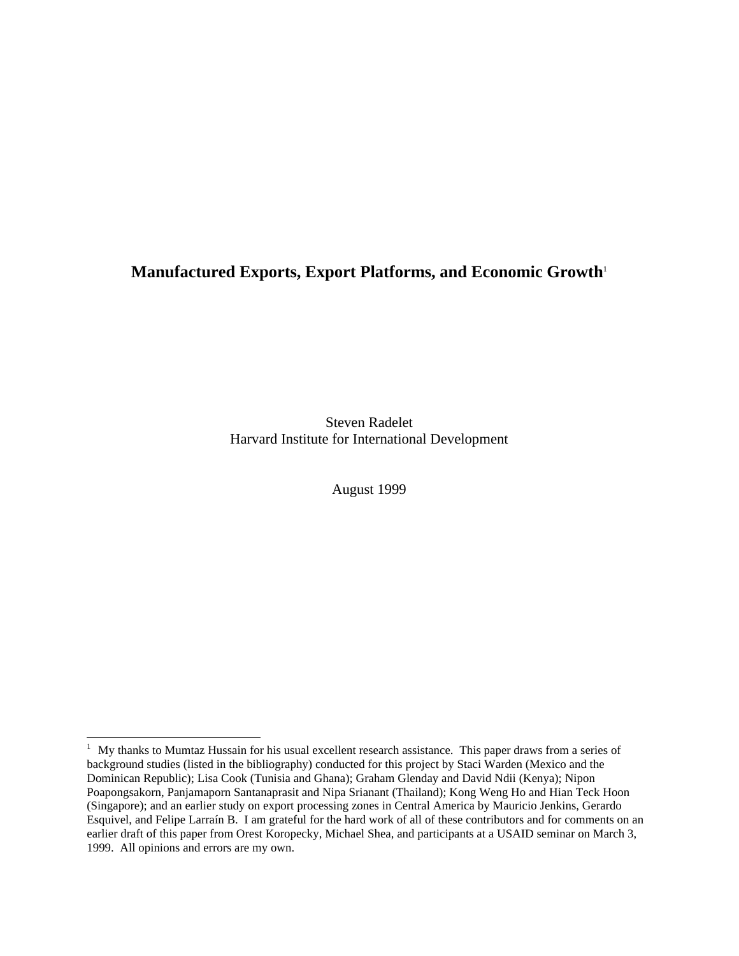# **Manufactured Exports, Export Platforms, and Economic Growth**<sup>1</sup>

Steven Radelet Harvard Institute for International Development

August 1999

<sup>&</sup>lt;sup>1</sup> My thanks to Mumtaz Hussain for his usual excellent research assistance. This paper draws from a series of background studies (listed in the bibliography) conducted for this project by Staci Warden (Mexico and the Dominican Republic); Lisa Cook (Tunisia and Ghana); Graham Glenday and David Ndii (Kenya); Nipon Poapongsakorn, Panjamaporn Santanaprasit and Nipa Srianant (Thailand); Kong Weng Ho and Hian Teck Hoon (Singapore); and an earlier study on export processing zones in Central America by Mauricio Jenkins, Gerardo Esquivel, and Felipe Larraín B. I am grateful for the hard work of all of these contributors and for comments on an earlier draft of this paper from Orest Koropecky, Michael Shea, and participants at a USAID seminar on March 3, 1999. All opinions and errors are my own.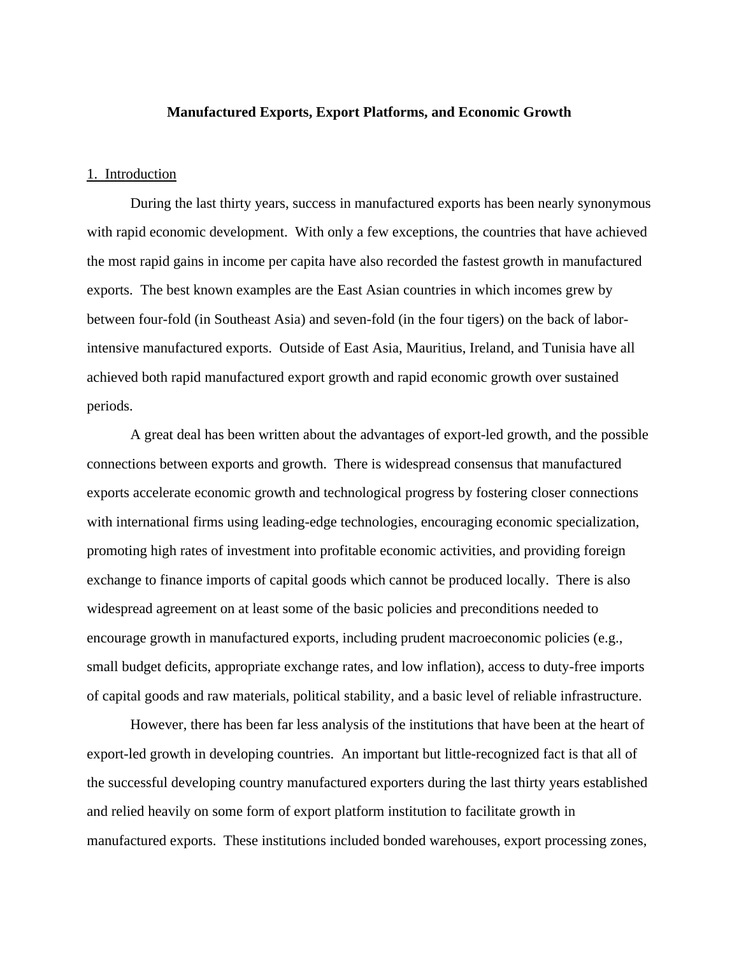## **Manufactured Exports, Export Platforms, and Economic Growth**

## 1. Introduction

During the last thirty years, success in manufactured exports has been nearly synonymous with rapid economic development. With only a few exceptions, the countries that have achieved the most rapid gains in income per capita have also recorded the fastest growth in manufactured exports. The best known examples are the East Asian countries in which incomes grew by between four-fold (in Southeast Asia) and seven-fold (in the four tigers) on the back of laborintensive manufactured exports. Outside of East Asia, Mauritius, Ireland, and Tunisia have all achieved both rapid manufactured export growth and rapid economic growth over sustained periods.

A great deal has been written about the advantages of export-led growth, and the possible connections between exports and growth. There is widespread consensus that manufactured exports accelerate economic growth and technological progress by fostering closer connections with international firms using leading-edge technologies, encouraging economic specialization, promoting high rates of investment into profitable economic activities, and providing foreign exchange to finance imports of capital goods which cannot be produced locally. There is also widespread agreement on at least some of the basic policies and preconditions needed to encourage growth in manufactured exports, including prudent macroeconomic policies (e.g., small budget deficits, appropriate exchange rates, and low inflation), access to duty-free imports of capital goods and raw materials, political stability, and a basic level of reliable infrastructure.

However, there has been far less analysis of the institutions that have been at the heart of export-led growth in developing countries. An important but little-recognized fact is that all of the successful developing country manufactured exporters during the last thirty years established and relied heavily on some form of export platform institution to facilitate growth in manufactured exports. These institutions included bonded warehouses, export processing zones,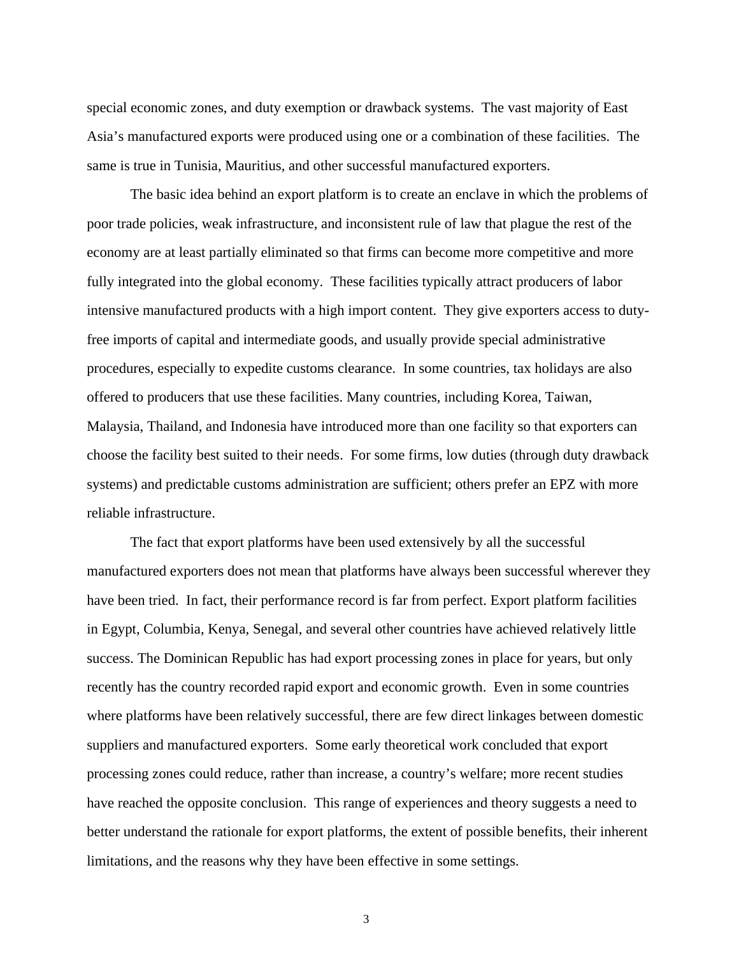special economic zones, and duty exemption or drawback systems. The vast majority of East Asia's manufactured exports were produced using one or a combination of these facilities. The same is true in Tunisia, Mauritius, and other successful manufactured exporters.

The basic idea behind an export platform is to create an enclave in which the problems of poor trade policies, weak infrastructure, and inconsistent rule of law that plague the rest of the economy are at least partially eliminated so that firms can become more competitive and more fully integrated into the global economy. These facilities typically attract producers of labor intensive manufactured products with a high import content. They give exporters access to dutyfree imports of capital and intermediate goods, and usually provide special administrative procedures, especially to expedite customs clearance. In some countries, tax holidays are also offered to producers that use these facilities. Many countries, including Korea, Taiwan, Malaysia, Thailand, and Indonesia have introduced more than one facility so that exporters can choose the facility best suited to their needs. For some firms, low duties (through duty drawback systems) and predictable customs administration are sufficient; others prefer an EPZ with more reliable infrastructure.

The fact that export platforms have been used extensively by all the successful manufactured exporters does not mean that platforms have always been successful wherever they have been tried. In fact, their performance record is far from perfect. Export platform facilities in Egypt, Columbia, Kenya, Senegal, and several other countries have achieved relatively little success. The Dominican Republic has had export processing zones in place for years, but only recently has the country recorded rapid export and economic growth. Even in some countries where platforms have been relatively successful, there are few direct linkages between domestic suppliers and manufactured exporters. Some early theoretical work concluded that export processing zones could reduce, rather than increase, a country's welfare; more recent studies have reached the opposite conclusion. This range of experiences and theory suggests a need to better understand the rationale for export platforms, the extent of possible benefits, their inherent limitations, and the reasons why they have been effective in some settings.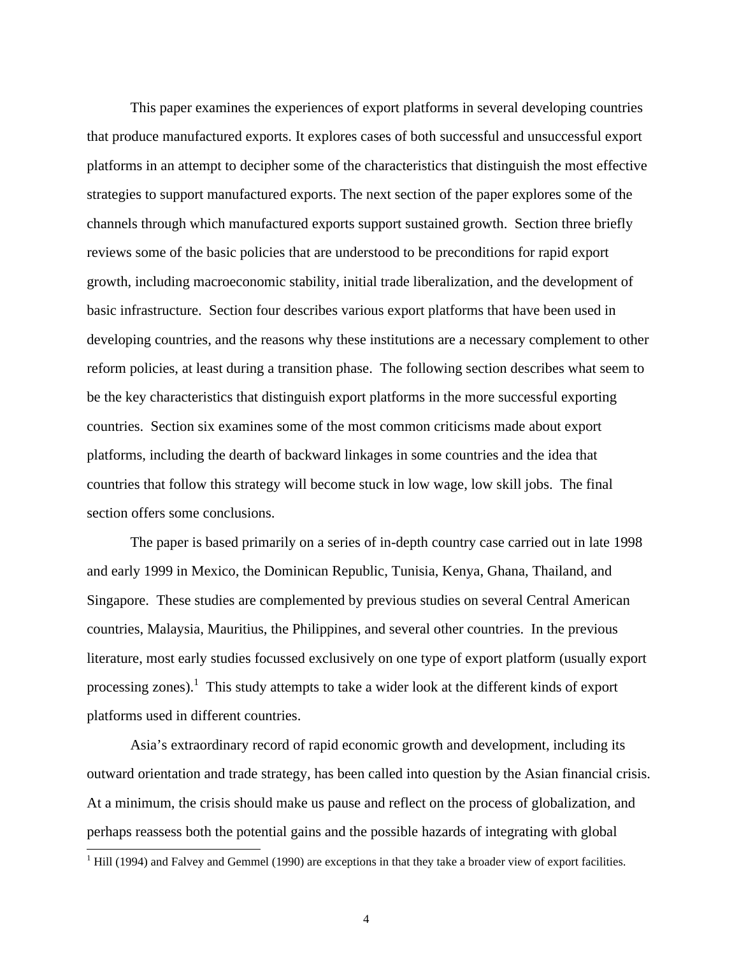This paper examines the experiences of export platforms in several developing countries that produce manufactured exports. It explores cases of both successful and unsuccessful export platforms in an attempt to decipher some of the characteristics that distinguish the most effective strategies to support manufactured exports. The next section of the paper explores some of the channels through which manufactured exports support sustained growth. Section three briefly reviews some of the basic policies that are understood to be preconditions for rapid export growth, including macroeconomic stability, initial trade liberalization, and the development of basic infrastructure. Section four describes various export platforms that have been used in developing countries, and the reasons why these institutions are a necessary complement to other reform policies, at least during a transition phase. The following section describes what seem to be the key characteristics that distinguish export platforms in the more successful exporting countries. Section six examines some of the most common criticisms made about export platforms, including the dearth of backward linkages in some countries and the idea that countries that follow this strategy will become stuck in low wage, low skill jobs. The final section offers some conclusions.

The paper is based primarily on a series of in-depth country case carried out in late 1998 and early 1999 in Mexico, the Dominican Republic, Tunisia, Kenya, Ghana, Thailand, and Singapore. These studies are complemented by previous studies on several Central American countries, Malaysia, Mauritius, the Philippines, and several other countries. In the previous literature, most early studies focussed exclusively on one type of export platform (usually export processing zones).<sup>1</sup> This study attempts to take a wider look at the different kinds of export platforms used in different countries.

Asia's extraordinary record of rapid economic growth and development, including its outward orientation and trade strategy, has been called into question by the Asian financial crisis. At a minimum, the crisis should make us pause and reflect on the process of globalization, and perhaps reassess both the potential gains and the possible hazards of integrating with global

 $\overline{a}$ 

 $1$  Hill (1994) and Falvey and Gemmel (1990) are exceptions in that they take a broader view of export facilities.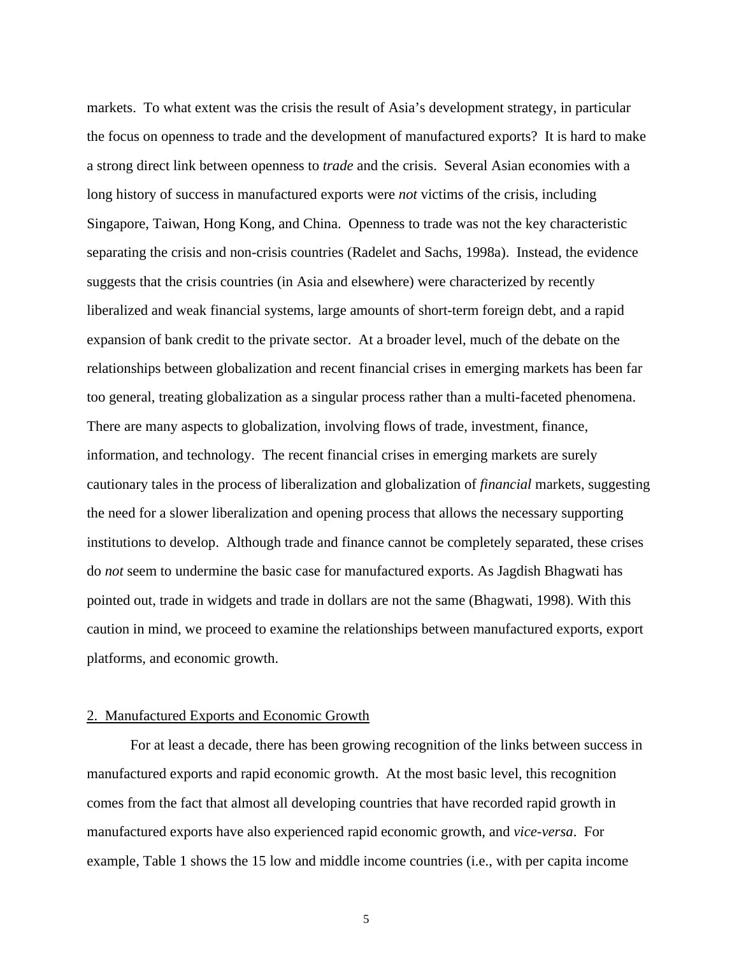markets. To what extent was the crisis the result of Asia's development strategy, in particular the focus on openness to trade and the development of manufactured exports? It is hard to make a strong direct link between openness to *trade* and the crisis. Several Asian economies with a long history of success in manufactured exports were *not* victims of the crisis, including Singapore, Taiwan, Hong Kong, and China. Openness to trade was not the key characteristic separating the crisis and non-crisis countries (Radelet and Sachs, 1998a). Instead, the evidence suggests that the crisis countries (in Asia and elsewhere) were characterized by recently liberalized and weak financial systems, large amounts of short-term foreign debt, and a rapid expansion of bank credit to the private sector. At a broader level, much of the debate on the relationships between globalization and recent financial crises in emerging markets has been far too general, treating globalization as a singular process rather than a multi-faceted phenomena. There are many aspects to globalization, involving flows of trade, investment, finance, information, and technology. The recent financial crises in emerging markets are surely cautionary tales in the process of liberalization and globalization of *financial* markets, suggesting the need for a slower liberalization and opening process that allows the necessary supporting institutions to develop. Although trade and finance cannot be completely separated, these crises do *not* seem to undermine the basic case for manufactured exports. As Jagdish Bhagwati has pointed out, trade in widgets and trade in dollars are not the same (Bhagwati, 1998). With this caution in mind, we proceed to examine the relationships between manufactured exports, export platforms, and economic growth.

## 2. Manufactured Exports and Economic Growth

For at least a decade, there has been growing recognition of the links between success in manufactured exports and rapid economic growth. At the most basic level, this recognition comes from the fact that almost all developing countries that have recorded rapid growth in manufactured exports have also experienced rapid economic growth, and *vice-versa*. For example, Table 1 shows the 15 low and middle income countries (i.e., with per capita income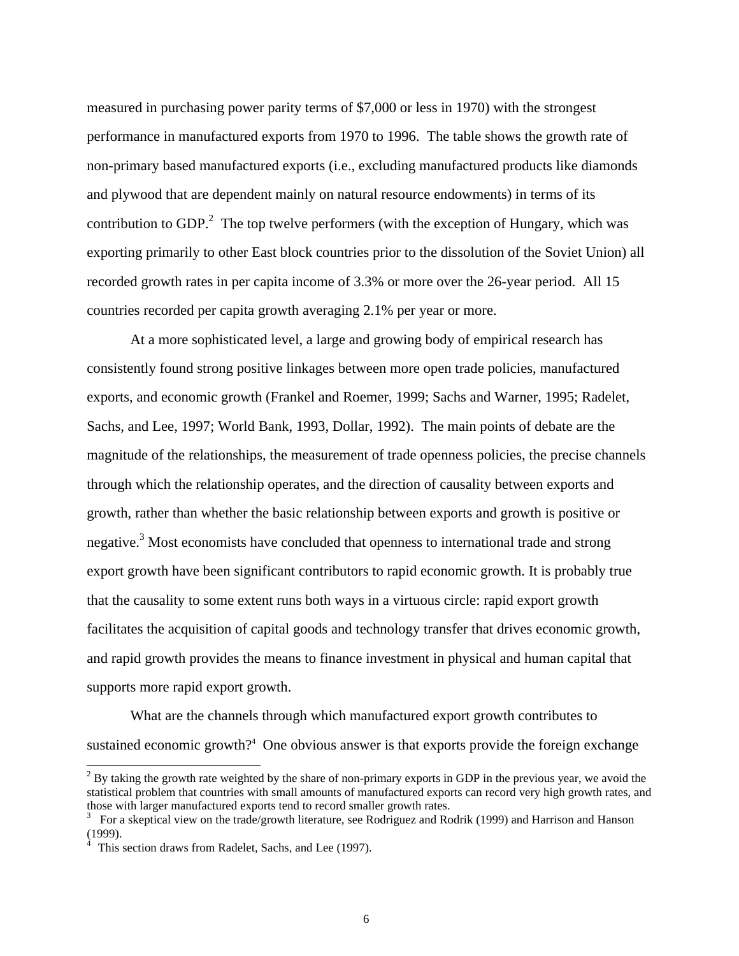measured in purchasing power parity terms of \$7,000 or less in 1970) with the strongest performance in manufactured exports from 1970 to 1996. The table shows the growth rate of non-primary based manufactured exports (i.e., excluding manufactured products like diamonds and plywood that are dependent mainly on natural resource endowments) in terms of its contribution to GDP. $^2$  The top twelve performers (with the exception of Hungary, which was exporting primarily to other East block countries prior to the dissolution of the Soviet Union) all recorded growth rates in per capita income of 3.3% or more over the 26-year period. All 15 countries recorded per capita growth averaging 2.1% per year or more.

At a more sophisticated level, a large and growing body of empirical research has consistently found strong positive linkages between more open trade policies, manufactured exports, and economic growth (Frankel and Roemer, 1999; Sachs and Warner, 1995; Radelet, Sachs, and Lee, 1997; World Bank, 1993, Dollar, 1992). The main points of debate are the magnitude of the relationships, the measurement of trade openness policies, the precise channels through which the relationship operates, and the direction of causality between exports and growth, rather than whether the basic relationship between exports and growth is positive or negative.<sup>3</sup> Most economists have concluded that openness to international trade and strong export growth have been significant contributors to rapid economic growth. It is probably true that the causality to some extent runs both ways in a virtuous circle: rapid export growth facilitates the acquisition of capital goods and technology transfer that drives economic growth, and rapid growth provides the means to finance investment in physical and human capital that supports more rapid export growth.

What are the channels through which manufactured export growth contributes to sustained economic growth?<sup>4</sup> One obvious answer is that exports provide the foreign exchange

<sup>&</sup>lt;sup>2</sup> By taking the growth rate weighted by the share of non-primary exports in GDP in the previous year, we avoid the statistical problem that countries with small amounts of manufactured exports can record very high growth rates, and those with larger manufactured exports tend to record smaller growth rates.

<sup>3</sup> For a skeptical view on the trade/growth literature, see Rodriguez and Rodrik (1999) and Harrison and Hanson (1999).

<sup>&</sup>lt;sup>4</sup> This section draws from Radelet, Sachs, and Lee (1997).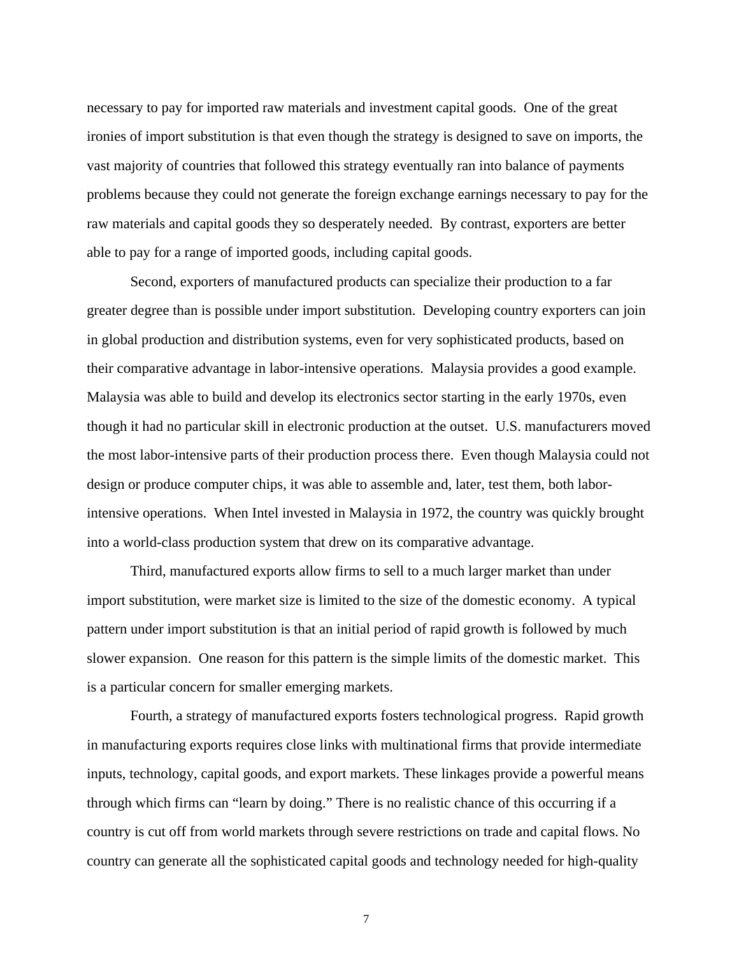necessary to pay for imported raw materials and investment capital goods. One of the great ironies of import substitution is that even though the strategy is designed to save on imports, the vast majority of countries that followed this strategy eventually ran into balance of payments problems because they could not generate the foreign exchange earnings necessary to pay for the raw materials and capital goods they so desperately needed. By contrast, exporters are better able to pay for a range of imported goods, including capital goods.

Second, exporters of manufactured products can specialize their production to a far greater degree than is possible under import substitution. Developing country exporters can join in global production and distribution systems, even for very sophisticated products, based on their comparative advantage in labor-intensive operations. Malaysia provides a good example. Malaysia was able to build and develop its electronics sector starting in the early 1970s, even though it had no particular skill in electronic production at the outset. U.S. manufacturers moved the most labor-intensive parts of their production process there. Even though Malaysia could not design or produce computer chips, it was able to assemble and, later, test them, both laborintensive operations. When Intel invested in Malaysia in 1972, the country was quickly brought into a world-class production system that drew on its comparative advantage.

Third, manufactured exports allow firms to sell to a much larger market than under import substitution, were market size is limited to the size of the domestic economy. A typical pattern under import substitution is that an initial period of rapid growth is followed by much slower expansion. One reason for this pattern is the simple limits of the domestic market. This is a particular concern for smaller emerging markets.

Fourth, a strategy of manufactured exports fosters technological progress. Rapid growth in manufacturing exports requires close links with multinational firms that provide intermediate inputs, technology, capital goods, and export markets. These linkages provide a powerful means through which firms can "learn by doing." There is no realistic chance of this occurring if a country is cut off from world markets through severe restrictions on trade and capital flows. No country can generate all the sophisticated capital goods and technology needed for high-quality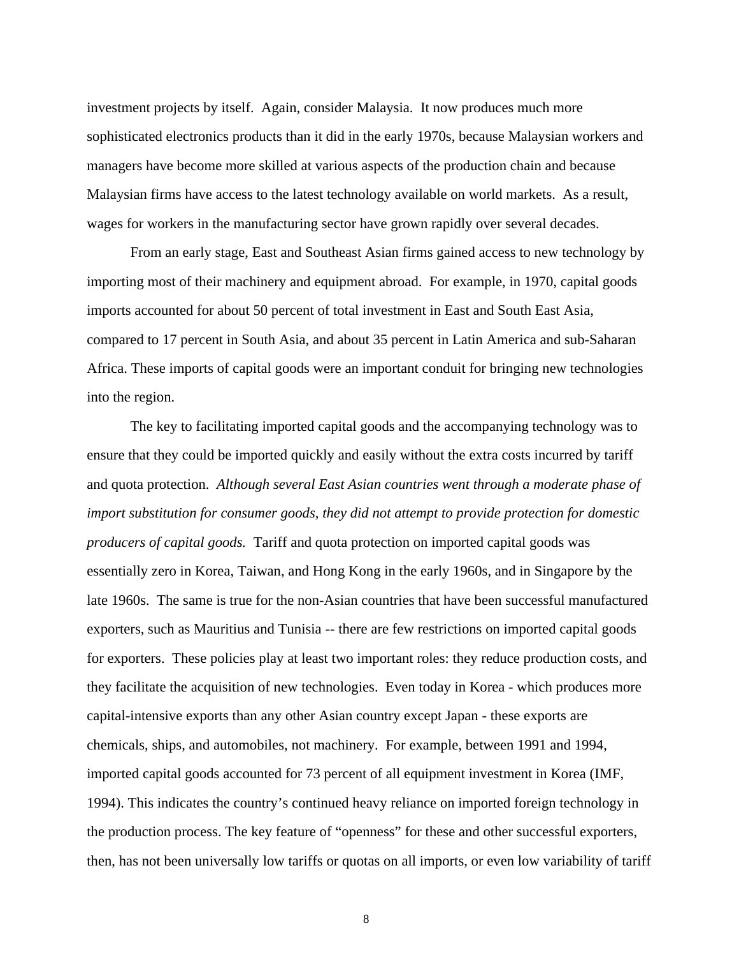investment projects by itself. Again, consider Malaysia. It now produces much more sophisticated electronics products than it did in the early 1970s, because Malaysian workers and managers have become more skilled at various aspects of the production chain and because Malaysian firms have access to the latest technology available on world markets. As a result, wages for workers in the manufacturing sector have grown rapidly over several decades.

From an early stage, East and Southeast Asian firms gained access to new technology by importing most of their machinery and equipment abroad. For example, in 1970, capital goods imports accounted for about 50 percent of total investment in East and South East Asia, compared to 17 percent in South Asia, and about 35 percent in Latin America and sub-Saharan Africa. These imports of capital goods were an important conduit for bringing new technologies into the region.

The key to facilitating imported capital goods and the accompanying technology was to ensure that they could be imported quickly and easily without the extra costs incurred by tariff and quota protection. *Although several East Asian countries went through a moderate phase of import substitution for consumer goods, they did not attempt to provide protection for domestic producers of capital goods.* Tariff and quota protection on imported capital goods was essentially zero in Korea, Taiwan, and Hong Kong in the early 1960s, and in Singapore by the late 1960s. The same is true for the non-Asian countries that have been successful manufactured exporters, such as Mauritius and Tunisia -- there are few restrictions on imported capital goods for exporters. These policies play at least two important roles: they reduce production costs, and they facilitate the acquisition of new technologies. Even today in Korea - which produces more capital-intensive exports than any other Asian country except Japan - these exports are chemicals, ships, and automobiles, not machinery. For example, between 1991 and 1994, imported capital goods accounted for 73 percent of all equipment investment in Korea (IMF, 1994). This indicates the country's continued heavy reliance on imported foreign technology in the production process. The key feature of "openness" for these and other successful exporters, then, has not been universally low tariffs or quotas on all imports, or even low variability of tariff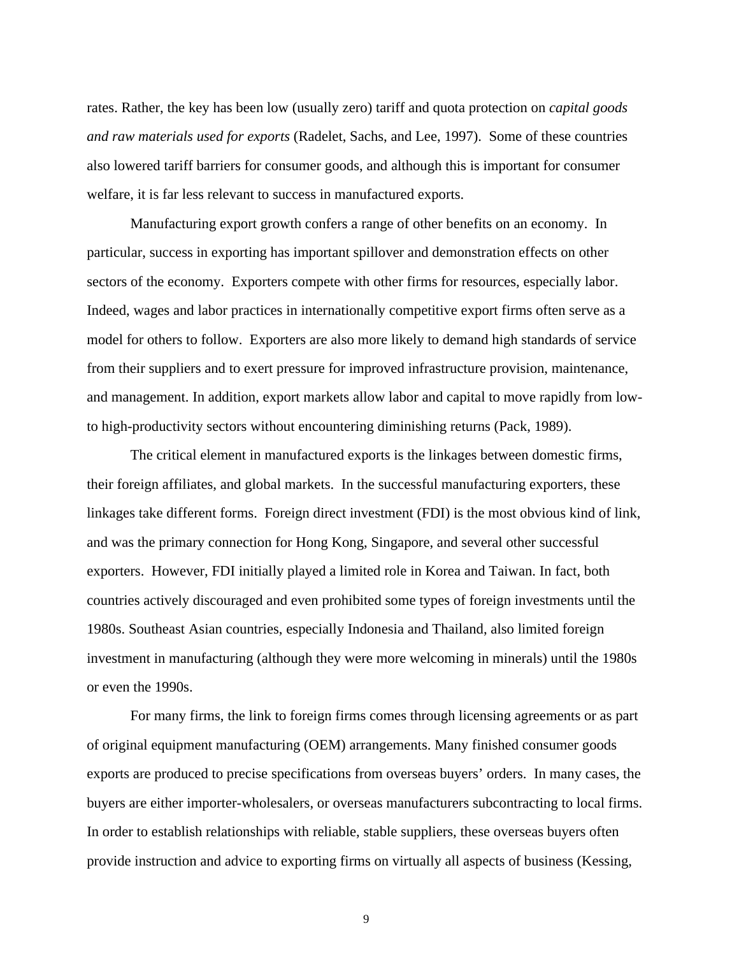rates. Rather, the key has been low (usually zero) tariff and quota protection on *capital goods and raw materials used for exports* (Radelet, Sachs, and Lee, 1997). Some of these countries also lowered tariff barriers for consumer goods, and although this is important for consumer welfare, it is far less relevant to success in manufactured exports.

Manufacturing export growth confers a range of other benefits on an economy. In particular, success in exporting has important spillover and demonstration effects on other sectors of the economy. Exporters compete with other firms for resources, especially labor. Indeed, wages and labor practices in internationally competitive export firms often serve as a model for others to follow. Exporters are also more likely to demand high standards of service from their suppliers and to exert pressure for improved infrastructure provision, maintenance, and management. In addition, export markets allow labor and capital to move rapidly from lowto high-productivity sectors without encountering diminishing returns (Pack, 1989).

The critical element in manufactured exports is the linkages between domestic firms, their foreign affiliates, and global markets. In the successful manufacturing exporters, these linkages take different forms. Foreign direct investment (FDI) is the most obvious kind of link, and was the primary connection for Hong Kong, Singapore, and several other successful exporters. However, FDI initially played a limited role in Korea and Taiwan. In fact, both countries actively discouraged and even prohibited some types of foreign investments until the 1980s. Southeast Asian countries, especially Indonesia and Thailand, also limited foreign investment in manufacturing (although they were more welcoming in minerals) until the 1980s or even the 1990s.

For many firms, the link to foreign firms comes through licensing agreements or as part of original equipment manufacturing (OEM) arrangements. Many finished consumer goods exports are produced to precise specifications from overseas buyers' orders. In many cases, the buyers are either importer-wholesalers, or overseas manufacturers subcontracting to local firms. In order to establish relationships with reliable, stable suppliers, these overseas buyers often provide instruction and advice to exporting firms on virtually all aspects of business (Kessing,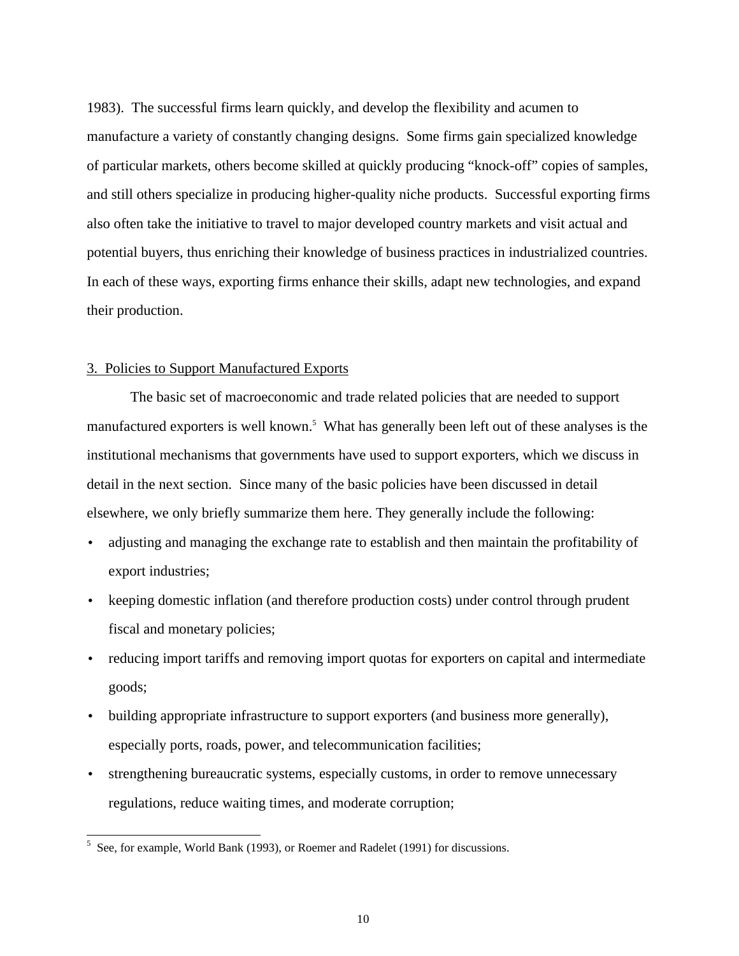1983). The successful firms learn quickly, and develop the flexibility and acumen to manufacture a variety of constantly changing designs. Some firms gain specialized knowledge of particular markets, others become skilled at quickly producing "knock-off" copies of samples, and still others specialize in producing higher-quality niche products. Successful exporting firms also often take the initiative to travel to major developed country markets and visit actual and potential buyers, thus enriching their knowledge of business practices in industrialized countries. In each of these ways, exporting firms enhance their skills, adapt new technologies, and expand their production.

## 3. Policies to Support Manufactured Exports

The basic set of macroeconomic and trade related policies that are needed to support manufactured exporters is well known.<sup>5</sup> What has generally been left out of these analyses is the institutional mechanisms that governments have used to support exporters, which we discuss in detail in the next section. Since many of the basic policies have been discussed in detail elsewhere, we only briefly summarize them here. They generally include the following:

- adjusting and managing the exchange rate to establish and then maintain the profitability of export industries;
- keeping domestic inflation (and therefore production costs) under control through prudent fiscal and monetary policies;
- reducing import tariffs and removing import quotas for exporters on capital and intermediate goods;
- building appropriate infrastructure to support exporters (and business more generally), especially ports, roads, power, and telecommunication facilities;
- strengthening bureaucratic systems, especially customs, in order to remove unnecessary regulations, reduce waiting times, and moderate corruption;

<sup>&</sup>lt;sup>5</sup> See, for example, World Bank (1993), or Roemer and Radelet (1991) for discussions.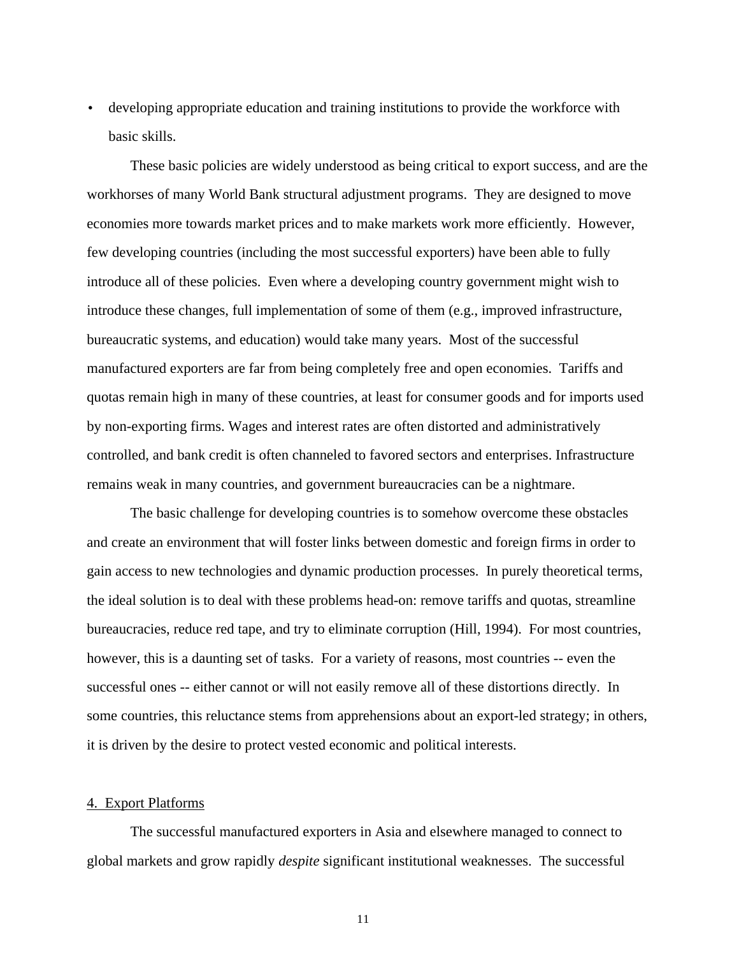• developing appropriate education and training institutions to provide the workforce with basic skills.

These basic policies are widely understood as being critical to export success, and are the workhorses of many World Bank structural adjustment programs. They are designed to move economies more towards market prices and to make markets work more efficiently. However, few developing countries (including the most successful exporters) have been able to fully introduce all of these policies. Even where a developing country government might wish to introduce these changes, full implementation of some of them (e.g., improved infrastructure, bureaucratic systems, and education) would take many years. Most of the successful manufactured exporters are far from being completely free and open economies. Tariffs and quotas remain high in many of these countries, at least for consumer goods and for imports used by non-exporting firms. Wages and interest rates are often distorted and administratively controlled, and bank credit is often channeled to favored sectors and enterprises. Infrastructure remains weak in many countries, and government bureaucracies can be a nightmare.

The basic challenge for developing countries is to somehow overcome these obstacles and create an environment that will foster links between domestic and foreign firms in order to gain access to new technologies and dynamic production processes. In purely theoretical terms, the ideal solution is to deal with these problems head-on: remove tariffs and quotas, streamline bureaucracies, reduce red tape, and try to eliminate corruption (Hill, 1994). For most countries, however, this is a daunting set of tasks. For a variety of reasons, most countries -- even the successful ones -- either cannot or will not easily remove all of these distortions directly. In some countries, this reluctance stems from apprehensions about an export-led strategy; in others, it is driven by the desire to protect vested economic and political interests.

## 4. Export Platforms

The successful manufactured exporters in Asia and elsewhere managed to connect to global markets and grow rapidly *despite* significant institutional weaknesses. The successful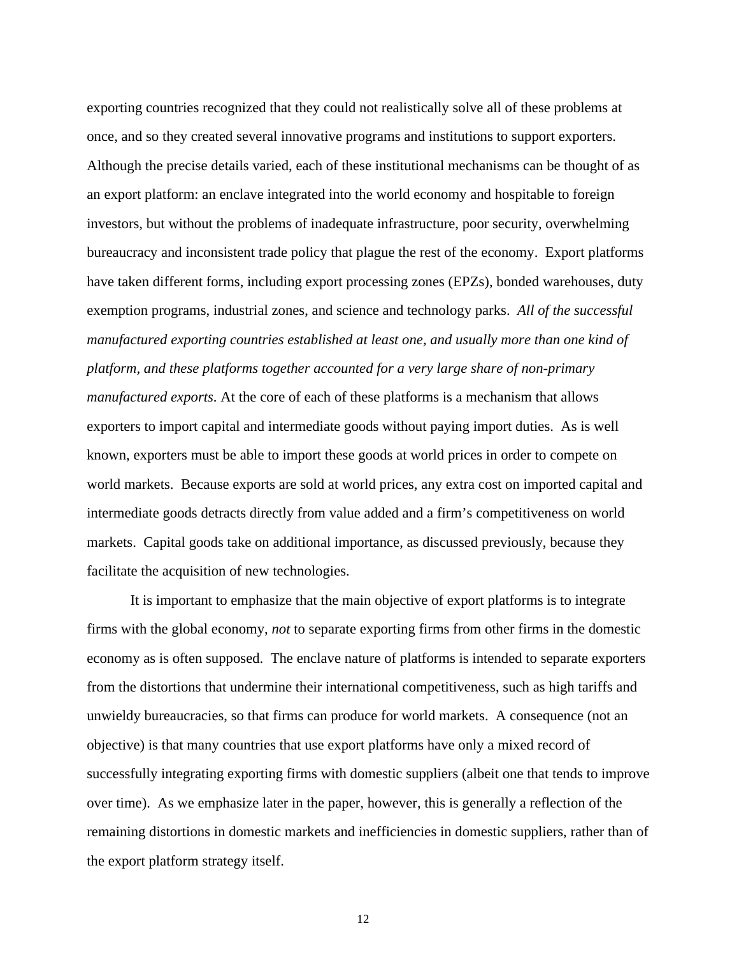exporting countries recognized that they could not realistically solve all of these problems at once, and so they created several innovative programs and institutions to support exporters. Although the precise details varied, each of these institutional mechanisms can be thought of as an export platform: an enclave integrated into the world economy and hospitable to foreign investors, but without the problems of inadequate infrastructure, poor security, overwhelming bureaucracy and inconsistent trade policy that plague the rest of the economy. Export platforms have taken different forms, including export processing zones (EPZs), bonded warehouses, duty exemption programs, industrial zones, and science and technology parks. *All of the successful manufactured exporting countries established at least one, and usually more than one kind of platform, and these platforms together accounted for a very large share of non-primary manufactured exports*. At the core of each of these platforms is a mechanism that allows exporters to import capital and intermediate goods without paying import duties. As is well known, exporters must be able to import these goods at world prices in order to compete on world markets. Because exports are sold at world prices, any extra cost on imported capital and intermediate goods detracts directly from value added and a firm's competitiveness on world markets. Capital goods take on additional importance, as discussed previously, because they facilitate the acquisition of new technologies.

It is important to emphasize that the main objective of export platforms is to integrate firms with the global economy, *not* to separate exporting firms from other firms in the domestic economy as is often supposed. The enclave nature of platforms is intended to separate exporters from the distortions that undermine their international competitiveness, such as high tariffs and unwieldy bureaucracies, so that firms can produce for world markets. A consequence (not an objective) is that many countries that use export platforms have only a mixed record of successfully integrating exporting firms with domestic suppliers (albeit one that tends to improve over time). As we emphasize later in the paper, however, this is generally a reflection of the remaining distortions in domestic markets and inefficiencies in domestic suppliers, rather than of the export platform strategy itself.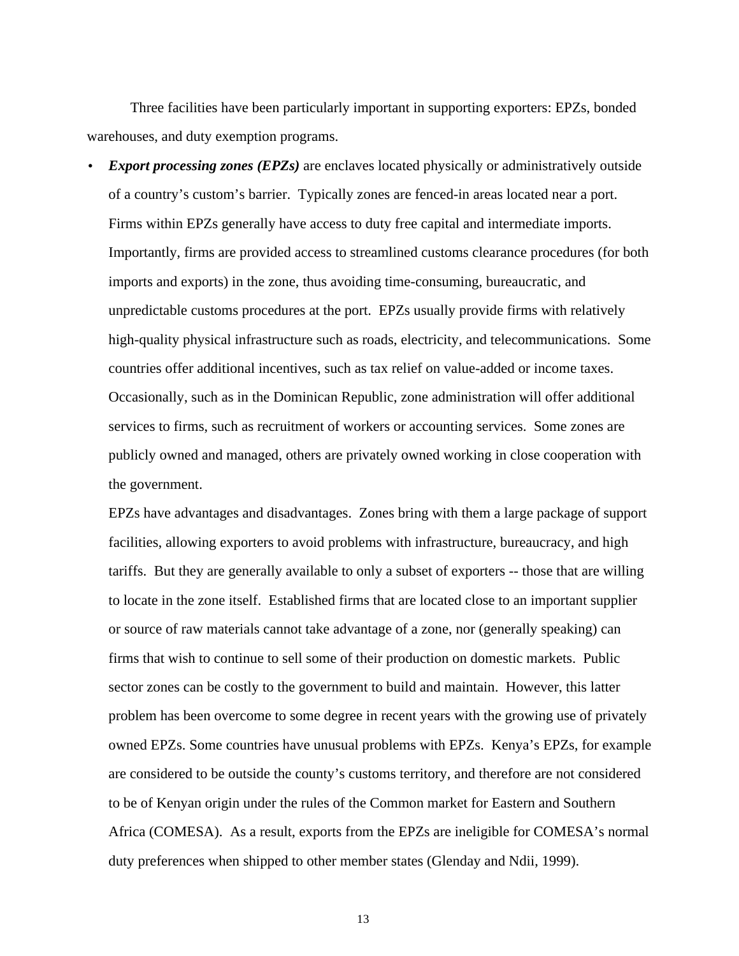Three facilities have been particularly important in supporting exporters: EPZs, bonded warehouses, and duty exemption programs.

**Export processing zones (EPZs)** are enclaves located physically or administratively outside of a country's custom's barrier. Typically zones are fenced-in areas located near a port. Firms within EPZs generally have access to duty free capital and intermediate imports. Importantly, firms are provided access to streamlined customs clearance procedures (for both imports and exports) in the zone, thus avoiding time-consuming, bureaucratic, and unpredictable customs procedures at the port. EPZs usually provide firms with relatively high-quality physical infrastructure such as roads, electricity, and telecommunications. Some countries offer additional incentives, such as tax relief on value-added or income taxes. Occasionally, such as in the Dominican Republic, zone administration will offer additional services to firms, such as recruitment of workers or accounting services. Some zones are publicly owned and managed, others are privately owned working in close cooperation with the government.

EPZs have advantages and disadvantages. Zones bring with them a large package of support facilities, allowing exporters to avoid problems with infrastructure, bureaucracy, and high tariffs. But they are generally available to only a subset of exporters -- those that are willing to locate in the zone itself. Established firms that are located close to an important supplier or source of raw materials cannot take advantage of a zone, nor (generally speaking) can firms that wish to continue to sell some of their production on domestic markets. Public sector zones can be costly to the government to build and maintain. However, this latter problem has been overcome to some degree in recent years with the growing use of privately owned EPZs. Some countries have unusual problems with EPZs. Kenya's EPZs, for example are considered to be outside the county's customs territory, and therefore are not considered to be of Kenyan origin under the rules of the Common market for Eastern and Southern Africa (COMESA). As a result, exports from the EPZs are ineligible for COMESA's normal duty preferences when shipped to other member states (Glenday and Ndii, 1999).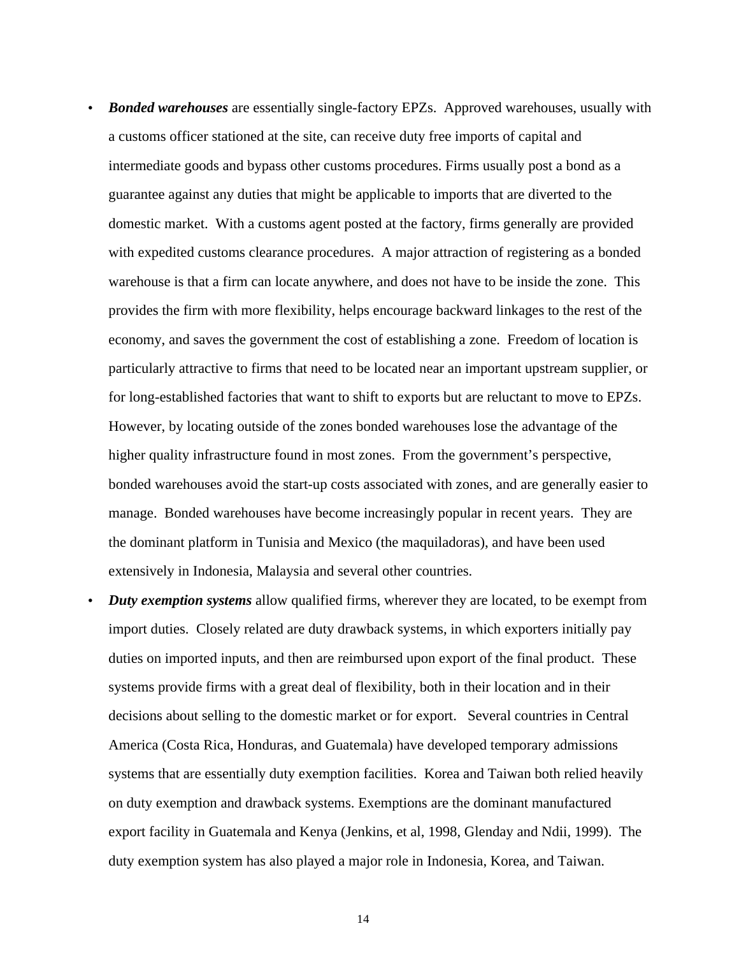- *Bonded warehouses* are essentially single-factory EPZs. Approved warehouses, usually with a customs officer stationed at the site, can receive duty free imports of capital and intermediate goods and bypass other customs procedures. Firms usually post a bond as a guarantee against any duties that might be applicable to imports that are diverted to the domestic market. With a customs agent posted at the factory, firms generally are provided with expedited customs clearance procedures. A major attraction of registering as a bonded warehouse is that a firm can locate anywhere, and does not have to be inside the zone. This provides the firm with more flexibility, helps encourage backward linkages to the rest of the economy, and saves the government the cost of establishing a zone. Freedom of location is particularly attractive to firms that need to be located near an important upstream supplier, or for long-established factories that want to shift to exports but are reluctant to move to EPZs. However, by locating outside of the zones bonded warehouses lose the advantage of the higher quality infrastructure found in most zones. From the government's perspective, bonded warehouses avoid the start-up costs associated with zones, and are generally easier to manage. Bonded warehouses have become increasingly popular in recent years. They are the dominant platform in Tunisia and Mexico (the maquiladoras), and have been used extensively in Indonesia, Malaysia and several other countries.
- *Duty exemption systems* allow qualified firms, wherever they are located, to be exempt from import duties. Closely related are duty drawback systems, in which exporters initially pay duties on imported inputs, and then are reimbursed upon export of the final product. These systems provide firms with a great deal of flexibility, both in their location and in their decisions about selling to the domestic market or for export. Several countries in Central America (Costa Rica, Honduras, and Guatemala) have developed temporary admissions systems that are essentially duty exemption facilities. Korea and Taiwan both relied heavily on duty exemption and drawback systems. Exemptions are the dominant manufactured export facility in Guatemala and Kenya (Jenkins, et al, 1998, Glenday and Ndii, 1999). The duty exemption system has also played a major role in Indonesia, Korea, and Taiwan.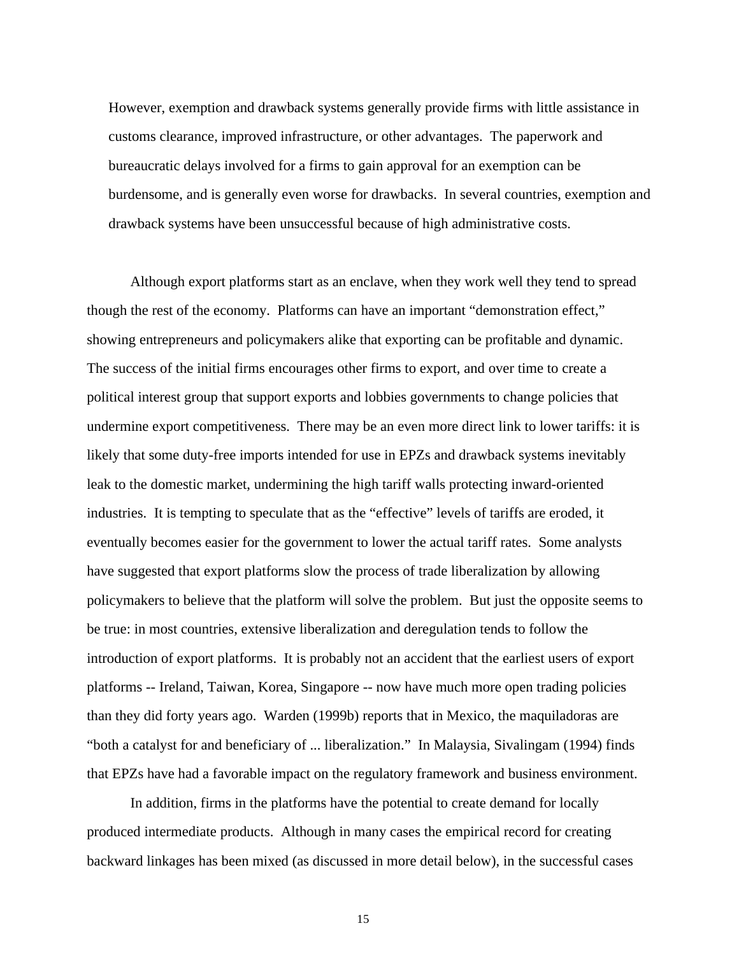However, exemption and drawback systems generally provide firms with little assistance in customs clearance, improved infrastructure, or other advantages. The paperwork and bureaucratic delays involved for a firms to gain approval for an exemption can be burdensome, and is generally even worse for drawbacks. In several countries, exemption and drawback systems have been unsuccessful because of high administrative costs.

Although export platforms start as an enclave, when they work well they tend to spread though the rest of the economy. Platforms can have an important "demonstration effect," showing entrepreneurs and policymakers alike that exporting can be profitable and dynamic. The success of the initial firms encourages other firms to export, and over time to create a political interest group that support exports and lobbies governments to change policies that undermine export competitiveness. There may be an even more direct link to lower tariffs: it is likely that some duty-free imports intended for use in EPZs and drawback systems inevitably leak to the domestic market, undermining the high tariff walls protecting inward-oriented industries. It is tempting to speculate that as the "effective" levels of tariffs are eroded, it eventually becomes easier for the government to lower the actual tariff rates. Some analysts have suggested that export platforms slow the process of trade liberalization by allowing policymakers to believe that the platform will solve the problem. But just the opposite seems to be true: in most countries, extensive liberalization and deregulation tends to follow the introduction of export platforms. It is probably not an accident that the earliest users of export platforms -- Ireland, Taiwan, Korea, Singapore -- now have much more open trading policies than they did forty years ago. Warden (1999b) reports that in Mexico, the maquiladoras are "both a catalyst for and beneficiary of ... liberalization." In Malaysia, Sivalingam (1994) finds that EPZs have had a favorable impact on the regulatory framework and business environment.

In addition, firms in the platforms have the potential to create demand for locally produced intermediate products. Although in many cases the empirical record for creating backward linkages has been mixed (as discussed in more detail below), in the successful cases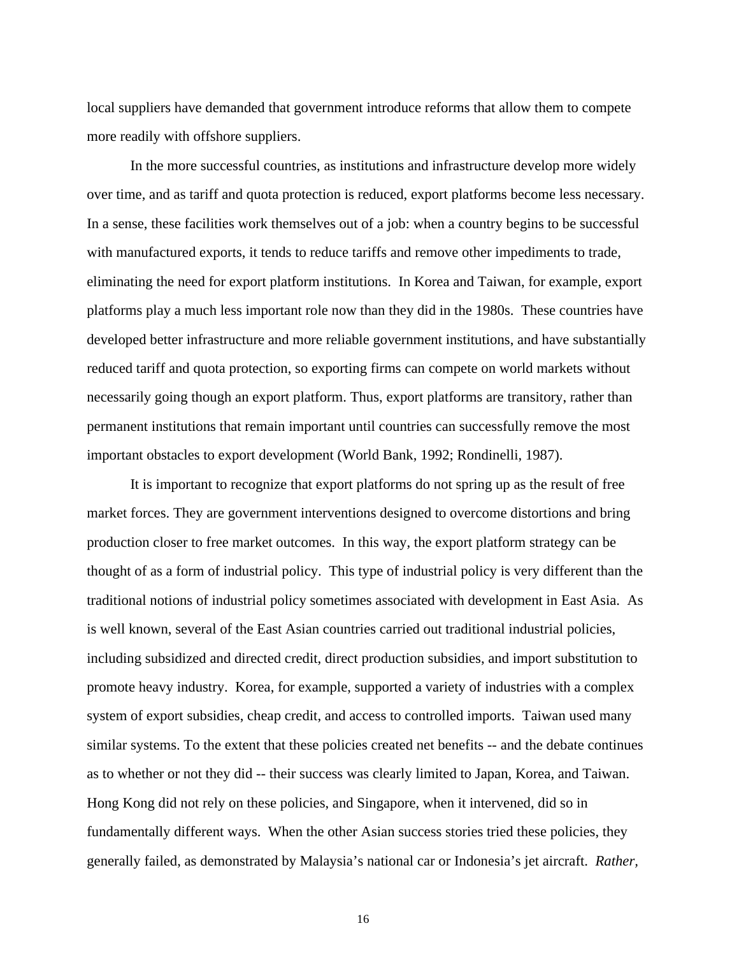local suppliers have demanded that government introduce reforms that allow them to compete more readily with offshore suppliers.

In the more successful countries, as institutions and infrastructure develop more widely over time, and as tariff and quota protection is reduced, export platforms become less necessary. In a sense, these facilities work themselves out of a job: when a country begins to be successful with manufactured exports, it tends to reduce tariffs and remove other impediments to trade, eliminating the need for export platform institutions. In Korea and Taiwan, for example, export platforms play a much less important role now than they did in the 1980s. These countries have developed better infrastructure and more reliable government institutions, and have substantially reduced tariff and quota protection, so exporting firms can compete on world markets without necessarily going though an export platform. Thus, export platforms are transitory, rather than permanent institutions that remain important until countries can successfully remove the most important obstacles to export development (World Bank, 1992; Rondinelli, 1987).

It is important to recognize that export platforms do not spring up as the result of free market forces. They are government interventions designed to overcome distortions and bring production closer to free market outcomes. In this way, the export platform strategy can be thought of as a form of industrial policy. This type of industrial policy is very different than the traditional notions of industrial policy sometimes associated with development in East Asia. As is well known, several of the East Asian countries carried out traditional industrial policies, including subsidized and directed credit, direct production subsidies, and import substitution to promote heavy industry. Korea, for example, supported a variety of industries with a complex system of export subsidies, cheap credit, and access to controlled imports. Taiwan used many similar systems. To the extent that these policies created net benefits -- and the debate continues as to whether or not they did -- their success was clearly limited to Japan, Korea, and Taiwan. Hong Kong did not rely on these policies, and Singapore, when it intervened, did so in fundamentally different ways. When the other Asian success stories tried these policies, they generally failed, as demonstrated by Malaysia's national car or Indonesia's jet aircraft. *Rather,*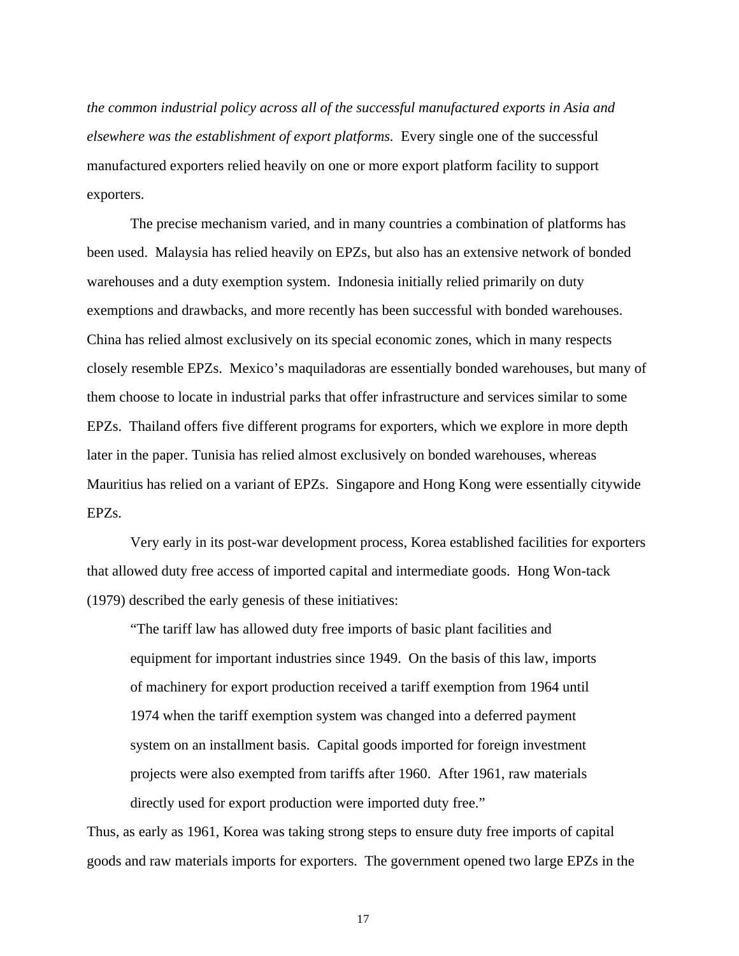*the common industrial policy across all of the successful manufactured exports in Asia and elsewhere was the establishment of export platforms.* Every single one of the successful manufactured exporters relied heavily on one or more export platform facility to support exporters.

The precise mechanism varied, and in many countries a combination of platforms has been used. Malaysia has relied heavily on EPZs, but also has an extensive network of bonded warehouses and a duty exemption system. Indonesia initially relied primarily on duty exemptions and drawbacks, and more recently has been successful with bonded warehouses. China has relied almost exclusively on its special economic zones, which in many respects closely resemble EPZs. Mexico's maquiladoras are essentially bonded warehouses, but many of them choose to locate in industrial parks that offer infrastructure and services similar to some EPZs. Thailand offers five different programs for exporters, which we explore in more depth later in the paper. Tunisia has relied almost exclusively on bonded warehouses, whereas Mauritius has relied on a variant of EPZs. Singapore and Hong Kong were essentially citywide EPZs.

Very early in its post-war development process, Korea established facilities for exporters that allowed duty free access of imported capital and intermediate goods. Hong Won-tack (1979) described the early genesis of these initiatives:

"The tariff law has allowed duty free imports of basic plant facilities and equipment for important industries since 1949. On the basis of this law, imports of machinery for export production received a tariff exemption from 1964 until 1974 when the tariff exemption system was changed into a deferred payment system on an installment basis. Capital goods imported for foreign investment projects were also exempted from tariffs after 1960. After 1961, raw materials directly used for export production were imported duty free."

Thus, as early as 1961, Korea was taking strong steps to ensure duty free imports of capital goods and raw materials imports for exporters. The government opened two large EPZs in the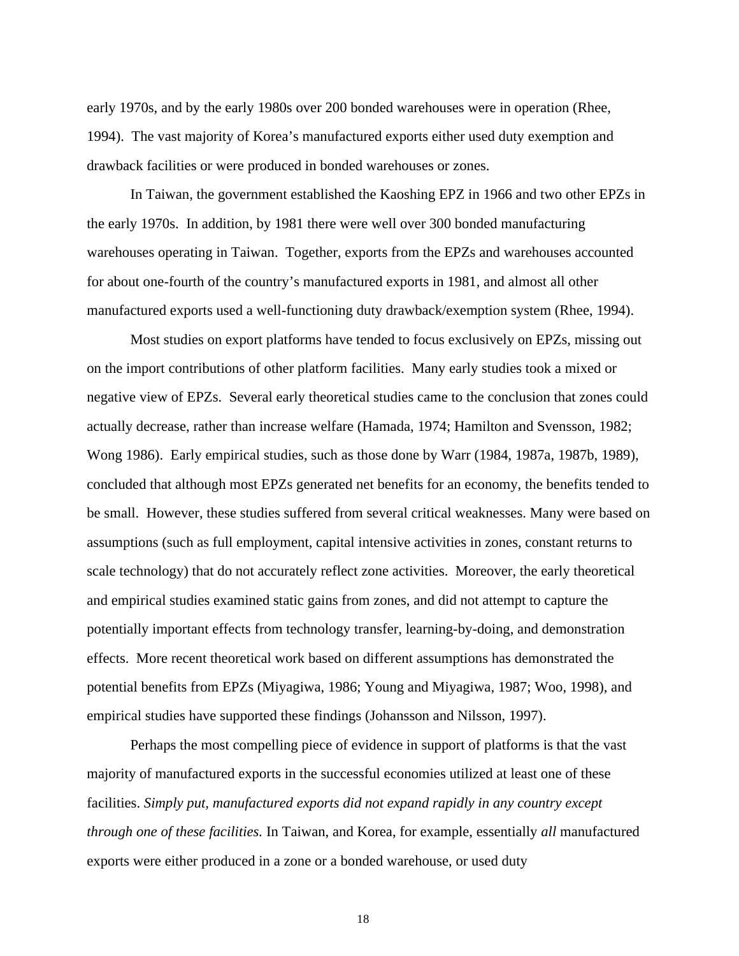early 1970s, and by the early 1980s over 200 bonded warehouses were in operation (Rhee, 1994). The vast majority of Korea's manufactured exports either used duty exemption and drawback facilities or were produced in bonded warehouses or zones.

In Taiwan, the government established the Kaoshing EPZ in 1966 and two other EPZs in the early 1970s. In addition, by 1981 there were well over 300 bonded manufacturing warehouses operating in Taiwan. Together, exports from the EPZs and warehouses accounted for about one-fourth of the country's manufactured exports in 1981, and almost all other manufactured exports used a well-functioning duty drawback/exemption system (Rhee, 1994).

Most studies on export platforms have tended to focus exclusively on EPZs, missing out on the import contributions of other platform facilities. Many early studies took a mixed or negative view of EPZs. Several early theoretical studies came to the conclusion that zones could actually decrease, rather than increase welfare (Hamada, 1974; Hamilton and Svensson, 1982; Wong 1986). Early empirical studies, such as those done by Warr (1984, 1987a, 1987b, 1989), concluded that although most EPZs generated net benefits for an economy, the benefits tended to be small. However, these studies suffered from several critical weaknesses. Many were based on assumptions (such as full employment, capital intensive activities in zones, constant returns to scale technology) that do not accurately reflect zone activities. Moreover, the early theoretical and empirical studies examined static gains from zones, and did not attempt to capture the potentially important effects from technology transfer, learning-by-doing, and demonstration effects. More recent theoretical work based on different assumptions has demonstrated the potential benefits from EPZs (Miyagiwa, 1986; Young and Miyagiwa, 1987; Woo, 1998), and empirical studies have supported these findings (Johansson and Nilsson, 1997).

Perhaps the most compelling piece of evidence in support of platforms is that the vast majority of manufactured exports in the successful economies utilized at least one of these facilities. *Simply put, manufactured exports did not expand rapidly in any country except through one of these facilities.* In Taiwan, and Korea, for example, essentially *all* manufactured exports were either produced in a zone or a bonded warehouse, or used duty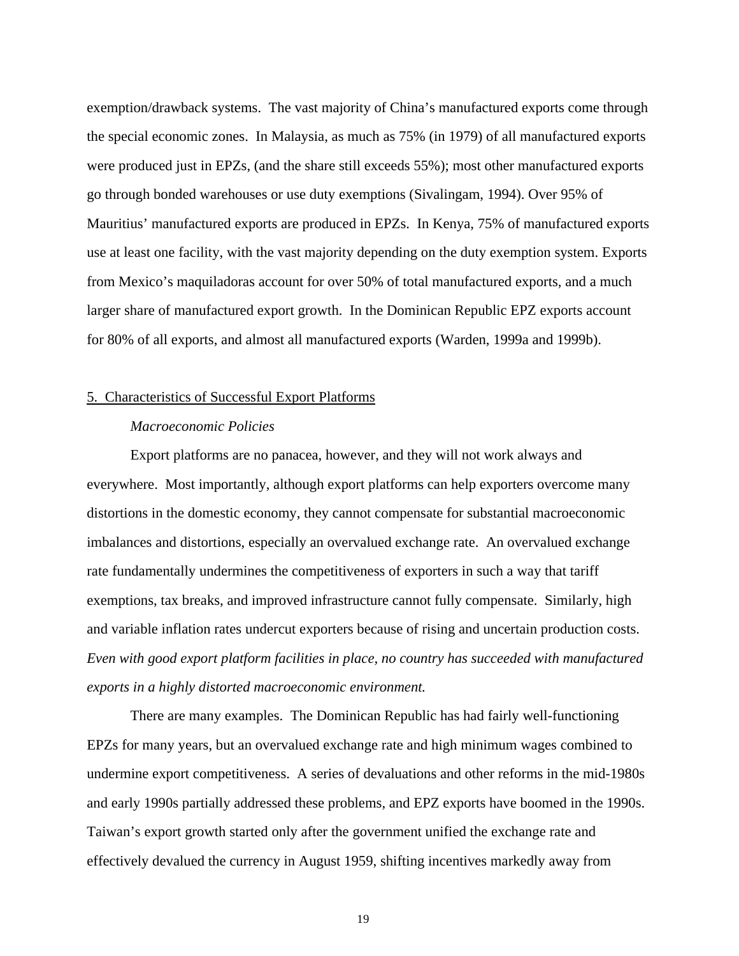exemption/drawback systems. The vast majority of China's manufactured exports come through the special economic zones. In Malaysia, as much as 75% (in 1979) of all manufactured exports were produced just in EPZs, (and the share still exceeds 55%); most other manufactured exports go through bonded warehouses or use duty exemptions (Sivalingam, 1994). Over 95% of Mauritius' manufactured exports are produced in EPZs. In Kenya, 75% of manufactured exports use at least one facility, with the vast majority depending on the duty exemption system. Exports from Mexico's maquiladoras account for over 50% of total manufactured exports, and a much larger share of manufactured export growth. In the Dominican Republic EPZ exports account for 80% of all exports, and almost all manufactured exports (Warden, 1999a and 1999b).

## 5. Characteristics of Successful Export Platforms

## *Macroeconomic Policies*

Export platforms are no panacea, however, and they will not work always and everywhere. Most importantly, although export platforms can help exporters overcome many distortions in the domestic economy, they cannot compensate for substantial macroeconomic imbalances and distortions, especially an overvalued exchange rate. An overvalued exchange rate fundamentally undermines the competitiveness of exporters in such a way that tariff exemptions, tax breaks, and improved infrastructure cannot fully compensate. Similarly, high and variable inflation rates undercut exporters because of rising and uncertain production costs. *Even with good export platform facilities in place, no country has succeeded with manufactured exports in a highly distorted macroeconomic environment.*

There are many examples. The Dominican Republic has had fairly well-functioning EPZs for many years, but an overvalued exchange rate and high minimum wages combined to undermine export competitiveness. A series of devaluations and other reforms in the mid-1980s and early 1990s partially addressed these problems, and EPZ exports have boomed in the 1990s. Taiwan's export growth started only after the government unified the exchange rate and effectively devalued the currency in August 1959, shifting incentives markedly away from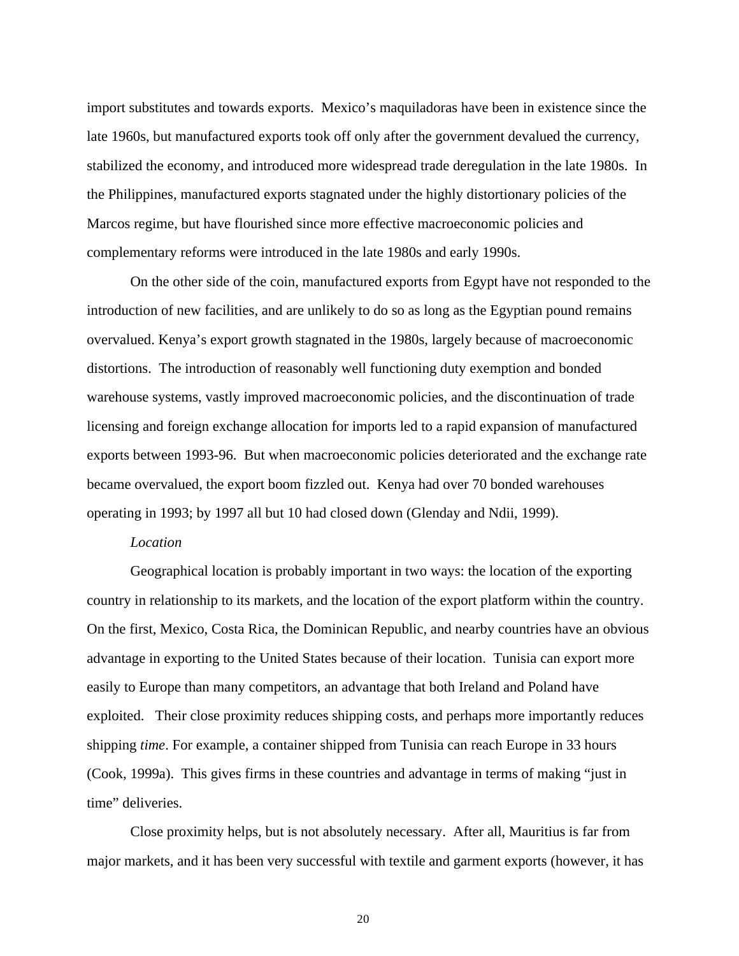import substitutes and towards exports. Mexico's maquiladoras have been in existence since the late 1960s, but manufactured exports took off only after the government devalued the currency, stabilized the economy, and introduced more widespread trade deregulation in the late 1980s. In the Philippines, manufactured exports stagnated under the highly distortionary policies of the Marcos regime, but have flourished since more effective macroeconomic policies and complementary reforms were introduced in the late 1980s and early 1990s.

On the other side of the coin, manufactured exports from Egypt have not responded to the introduction of new facilities, and are unlikely to do so as long as the Egyptian pound remains overvalued. Kenya's export growth stagnated in the 1980s, largely because of macroeconomic distortions. The introduction of reasonably well functioning duty exemption and bonded warehouse systems, vastly improved macroeconomic policies, and the discontinuation of trade licensing and foreign exchange allocation for imports led to a rapid expansion of manufactured exports between 1993-96. But when macroeconomic policies deteriorated and the exchange rate became overvalued, the export boom fizzled out. Kenya had over 70 bonded warehouses operating in 1993; by 1997 all but 10 had closed down (Glenday and Ndii, 1999).

## *Location*

Geographical location is probably important in two ways: the location of the exporting country in relationship to its markets, and the location of the export platform within the country. On the first, Mexico, Costa Rica, the Dominican Republic, and nearby countries have an obvious advantage in exporting to the United States because of their location. Tunisia can export more easily to Europe than many competitors, an advantage that both Ireland and Poland have exploited. Their close proximity reduces shipping costs, and perhaps more importantly reduces shipping *time*. For example, a container shipped from Tunisia can reach Europe in 33 hours (Cook, 1999a). This gives firms in these countries and advantage in terms of making "just in time" deliveries.

Close proximity helps, but is not absolutely necessary. After all, Mauritius is far from major markets, and it has been very successful with textile and garment exports (however, it has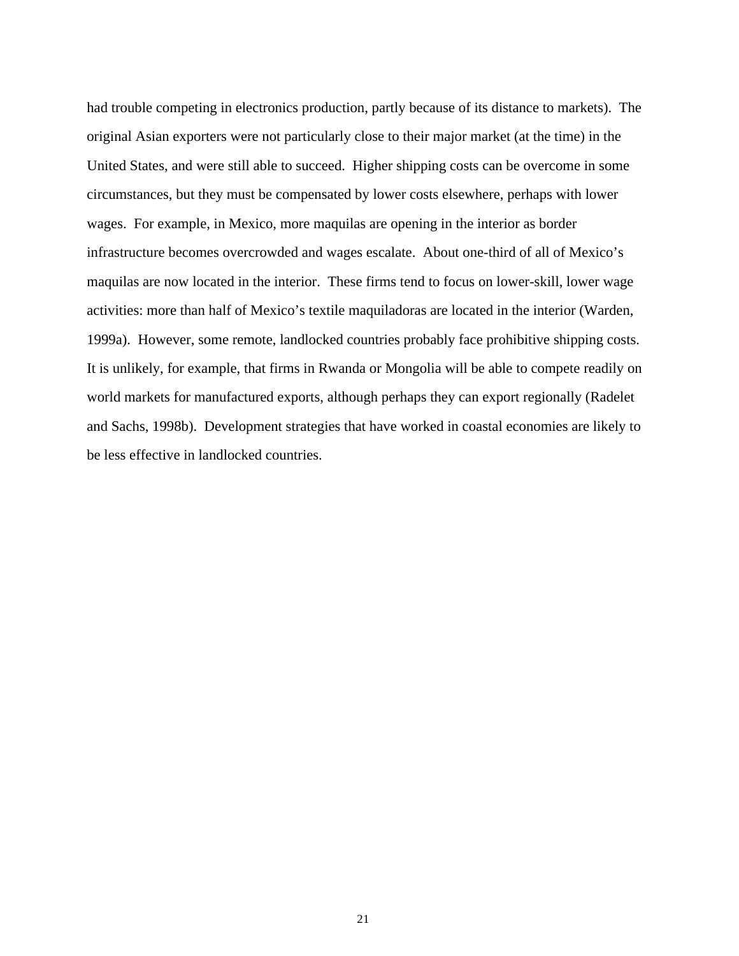had trouble competing in electronics production, partly because of its distance to markets). The original Asian exporters were not particularly close to their major market (at the time) in the United States, and were still able to succeed. Higher shipping costs can be overcome in some circumstances, but they must be compensated by lower costs elsewhere, perhaps with lower wages. For example, in Mexico, more maquilas are opening in the interior as border infrastructure becomes overcrowded and wages escalate. About one-third of all of Mexico's maquilas are now located in the interior. These firms tend to focus on lower-skill, lower wage activities: more than half of Mexico's textile maquiladoras are located in the interior (Warden, 1999a). However, some remote, landlocked countries probably face prohibitive shipping costs. It is unlikely, for example, that firms in Rwanda or Mongolia will be able to compete readily on world markets for manufactured exports, although perhaps they can export regionally (Radelet and Sachs, 1998b). Development strategies that have worked in coastal economies are likely to be less effective in landlocked countries.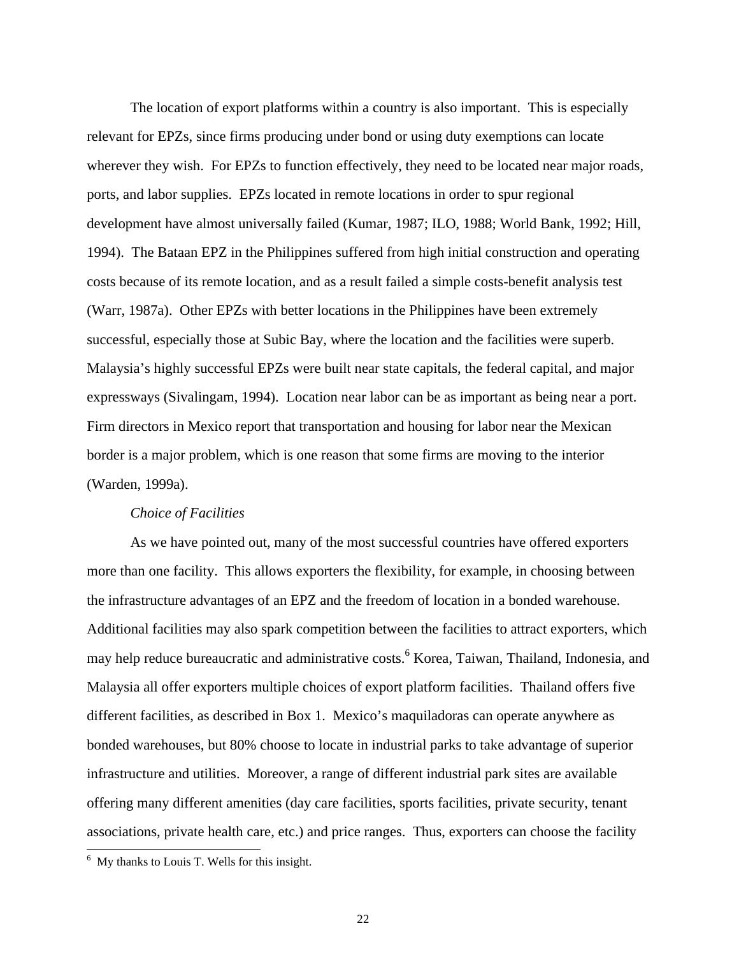The location of export platforms within a country is also important. This is especially relevant for EPZs, since firms producing under bond or using duty exemptions can locate wherever they wish. For EPZs to function effectively, they need to be located near major roads, ports, and labor supplies. EPZs located in remote locations in order to spur regional development have almost universally failed (Kumar, 1987; ILO, 1988; World Bank, 1992; Hill, 1994). The Bataan EPZ in the Philippines suffered from high initial construction and operating costs because of its remote location, and as a result failed a simple costs-benefit analysis test (Warr, 1987a). Other EPZs with better locations in the Philippines have been extremely successful, especially those at Subic Bay, where the location and the facilities were superb. Malaysia's highly successful EPZs were built near state capitals, the federal capital, and major expressways (Sivalingam, 1994). Location near labor can be as important as being near a port. Firm directors in Mexico report that transportation and housing for labor near the Mexican border is a major problem, which is one reason that some firms are moving to the interior (Warden, 1999a).

#### *Choice of Facilities*

As we have pointed out, many of the most successful countries have offered exporters more than one facility. This allows exporters the flexibility, for example, in choosing between the infrastructure advantages of an EPZ and the freedom of location in a bonded warehouse. Additional facilities may also spark competition between the facilities to attract exporters, which may help reduce bureaucratic and administrative costs.<sup>6</sup> Korea, Taiwan, Thailand, Indonesia, and Malaysia all offer exporters multiple choices of export platform facilities. Thailand offers five different facilities, as described in Box 1. Mexico's maquiladoras can operate anywhere as bonded warehouses, but 80% choose to locate in industrial parks to take advantage of superior infrastructure and utilities. Moreover, a range of different industrial park sites are available offering many different amenities (day care facilities, sports facilities, private security, tenant associations, private health care, etc.) and price ranges. Thus, exporters can choose the facility

-

<sup>&</sup>lt;sup>6</sup> My thanks to Louis T. Wells for this insight.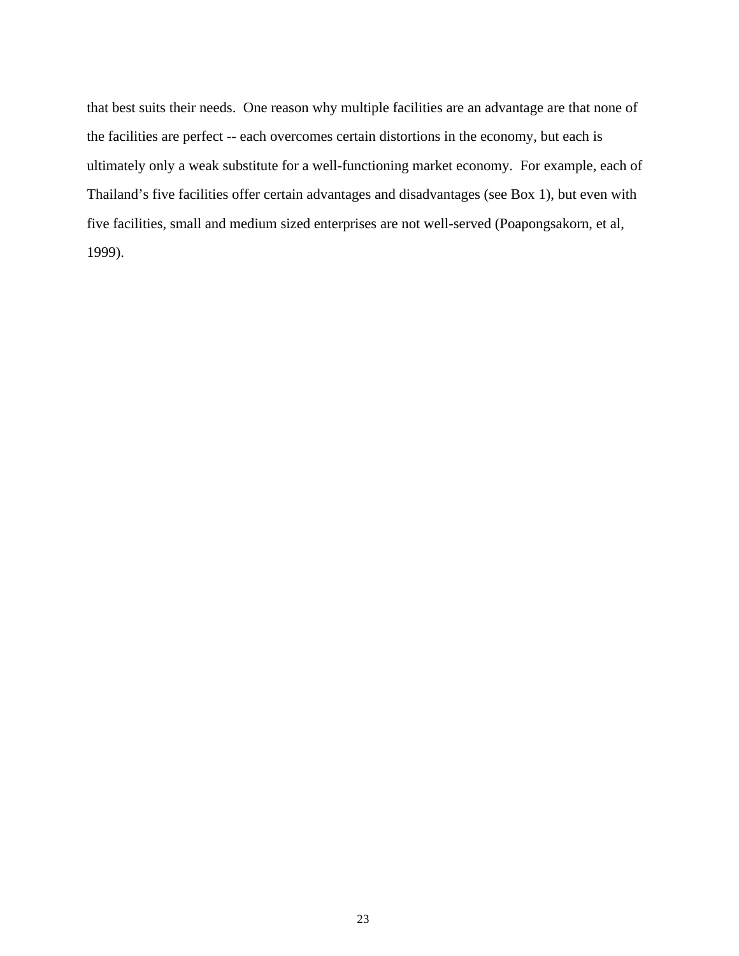that best suits their needs. One reason why multiple facilities are an advantage are that none of the facilities are perfect -- each overcomes certain distortions in the economy, but each is ultimately only a weak substitute for a well-functioning market economy. For example, each of Thailand's five facilities offer certain advantages and disadvantages (see Box 1), but even with five facilities, small and medium sized enterprises are not well-served (Poapongsakorn, et al, 1999).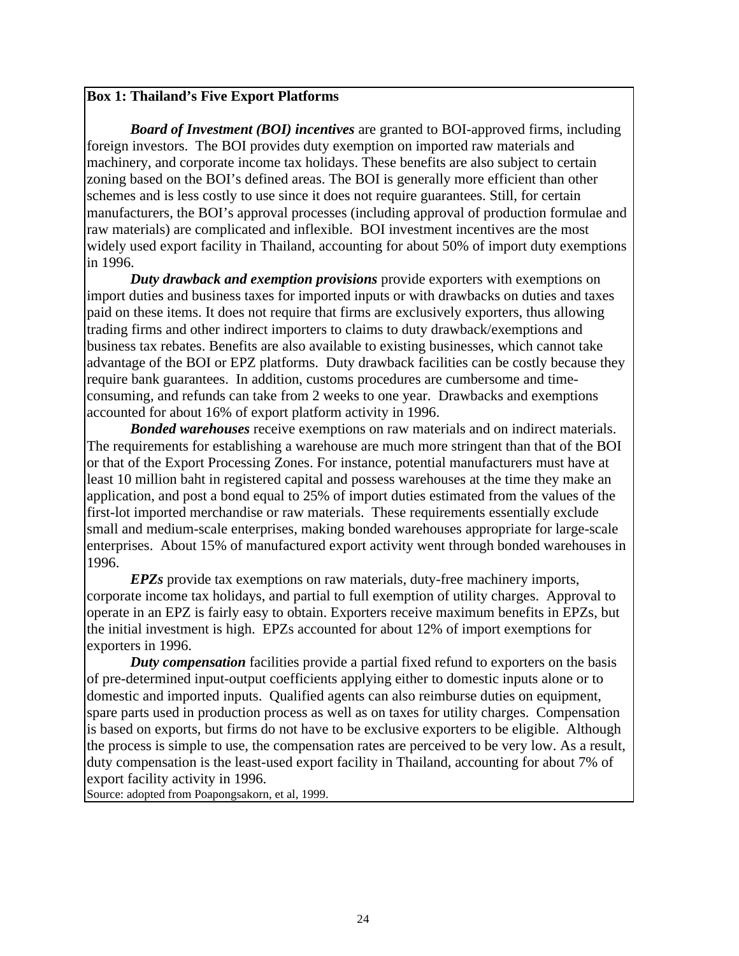## **Box 1: Thailand's Five Export Platforms**

*Board of Investment (BOI) incentives* are granted to BOI-approved firms, including foreign investors. The BOI provides duty exemption on imported raw materials and machinery, and corporate income tax holidays. These benefits are also subject to certain zoning based on the BOI's defined areas. The BOI is generally more efficient than other schemes and is less costly to use since it does not require guarantees. Still, for certain manufacturers, the BOI's approval processes (including approval of production formulae and raw materials) are complicated and inflexible. BOI investment incentives are the most widely used export facility in Thailand, accounting for about 50% of import duty exemptions in 1996.

*Duty drawback and exemption provisions* provide exporters with exemptions on import duties and business taxes for imported inputs or with drawbacks on duties and taxes paid on these items. It does not require that firms are exclusively exporters, thus allowing trading firms and other indirect importers to claims to duty drawback/exemptions and business tax rebates. Benefits are also available to existing businesses, which cannot take advantage of the BOI or EPZ platforms. Duty drawback facilities can be costly because they require bank guarantees. In addition, customs procedures are cumbersome and timeconsuming, and refunds can take from 2 weeks to one year. Drawbacks and exemptions accounted for about 16% of export platform activity in 1996.

*Bonded warehouses* receive exemptions on raw materials and on indirect materials. The requirements for establishing a warehouse are much more stringent than that of the BOI or that of the Export Processing Zones. For instance, potential manufacturers must have at least 10 million baht in registered capital and possess warehouses at the time they make an application, and post a bond equal to 25% of import duties estimated from the values of the first-lot imported merchandise or raw materials. These requirements essentially exclude small and medium-scale enterprises, making bonded warehouses appropriate for large-scale enterprises. About 15% of manufactured export activity went through bonded warehouses in 1996.

*EPZs* provide tax exemptions on raw materials, duty-free machinery imports, corporate income tax holidays, and partial to full exemption of utility charges. Approval to operate in an EPZ is fairly easy to obtain. Exporters receive maximum benefits in EPZs, but the initial investment is high. EPZs accounted for about 12% of import exemptions for exporters in 1996.

*Duty compensation* facilities provide a partial fixed refund to exporters on the basis of pre-determined input-output coefficients applying either to domestic inputs alone or to domestic and imported inputs. Qualified agents can also reimburse duties on equipment, spare parts used in production process as well as on taxes for utility charges. Compensation is based on exports, but firms do not have to be exclusive exporters to be eligible. Although the process is simple to use, the compensation rates are perceived to be very low. As a result, duty compensation is the least-used export facility in Thailand, accounting for about 7% of export facility activity in 1996.

Source: adopted from Poapongsakorn, et al, 1999.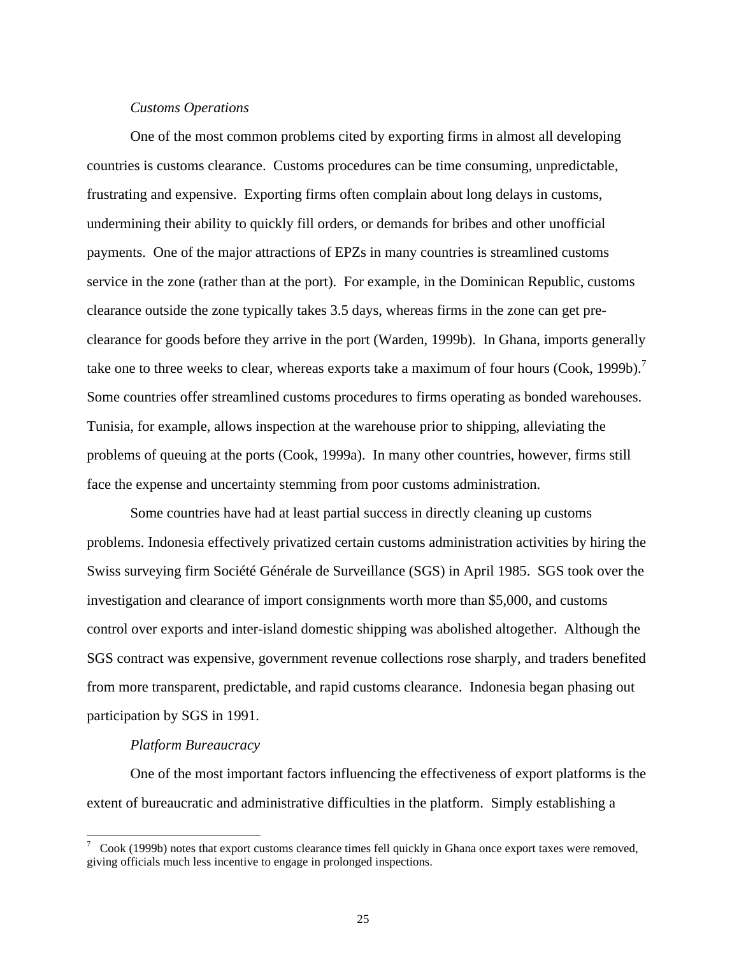## *Customs Operations*

One of the most common problems cited by exporting firms in almost all developing countries is customs clearance. Customs procedures can be time consuming, unpredictable, frustrating and expensive. Exporting firms often complain about long delays in customs, undermining their ability to quickly fill orders, or demands for bribes and other unofficial payments. One of the major attractions of EPZs in many countries is streamlined customs service in the zone (rather than at the port). For example, in the Dominican Republic, customs clearance outside the zone typically takes 3.5 days, whereas firms in the zone can get preclearance for goods before they arrive in the port (Warden, 1999b). In Ghana, imports generally take one to three weeks to clear, whereas exports take a maximum of four hours (Cook, 1999b).<sup>7</sup> Some countries offer streamlined customs procedures to firms operating as bonded warehouses. Tunisia, for example, allows inspection at the warehouse prior to shipping, alleviating the problems of queuing at the ports (Cook, 1999a). In many other countries, however, firms still face the expense and uncertainty stemming from poor customs administration.

Some countries have had at least partial success in directly cleaning up customs problems. Indonesia effectively privatized certain customs administration activities by hiring the Swiss surveying firm Société Générale de Surveillance (SGS) in April 1985. SGS took over the investigation and clearance of import consignments worth more than \$5,000, and customs control over exports and inter-island domestic shipping was abolished altogether. Although the SGS contract was expensive, government revenue collections rose sharply, and traders benefited from more transparent, predictable, and rapid customs clearance. Indonesia began phasing out participation by SGS in 1991.

## *Platform Bureaucracy*

One of the most important factors influencing the effectiveness of export platforms is the extent of bureaucratic and administrative difficulties in the platform. Simply establishing a

 $\frac{7}{100}$  Cook (1999b) notes that export customs clearance times fell quickly in Ghana once export taxes were removed, giving officials much less incentive to engage in prolonged inspections.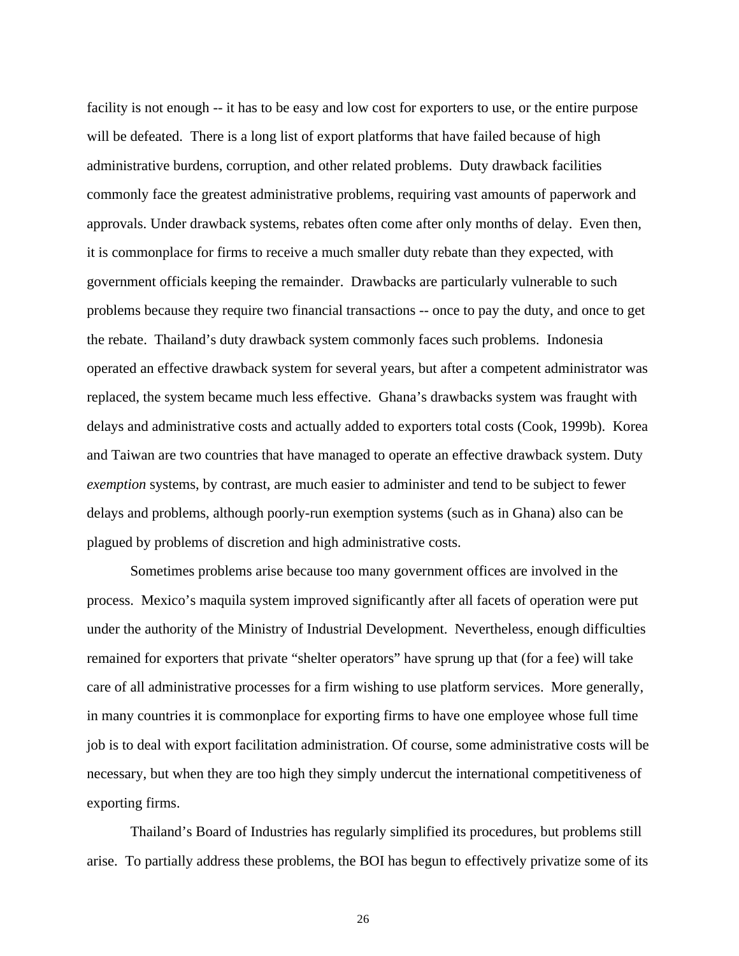facility is not enough -- it has to be easy and low cost for exporters to use, or the entire purpose will be defeated. There is a long list of export platforms that have failed because of high administrative burdens, corruption, and other related problems. Duty drawback facilities commonly face the greatest administrative problems, requiring vast amounts of paperwork and approvals. Under drawback systems, rebates often come after only months of delay. Even then, it is commonplace for firms to receive a much smaller duty rebate than they expected, with government officials keeping the remainder. Drawbacks are particularly vulnerable to such problems because they require two financial transactions -- once to pay the duty, and once to get the rebate. Thailand's duty drawback system commonly faces such problems. Indonesia operated an effective drawback system for several years, but after a competent administrator was replaced, the system became much less effective. Ghana's drawbacks system was fraught with delays and administrative costs and actually added to exporters total costs (Cook, 1999b). Korea and Taiwan are two countries that have managed to operate an effective drawback system. Duty *exemption* systems, by contrast, are much easier to administer and tend to be subject to fewer delays and problems, although poorly-run exemption systems (such as in Ghana) also can be plagued by problems of discretion and high administrative costs.

Sometimes problems arise because too many government offices are involved in the process. Mexico's maquila system improved significantly after all facets of operation were put under the authority of the Ministry of Industrial Development. Nevertheless, enough difficulties remained for exporters that private "shelter operators" have sprung up that (for a fee) will take care of all administrative processes for a firm wishing to use platform services. More generally, in many countries it is commonplace for exporting firms to have one employee whose full time job is to deal with export facilitation administration. Of course, some administrative costs will be necessary, but when they are too high they simply undercut the international competitiveness of exporting firms.

Thailand's Board of Industries has regularly simplified its procedures, but problems still arise. To partially address these problems, the BOI has begun to effectively privatize some of its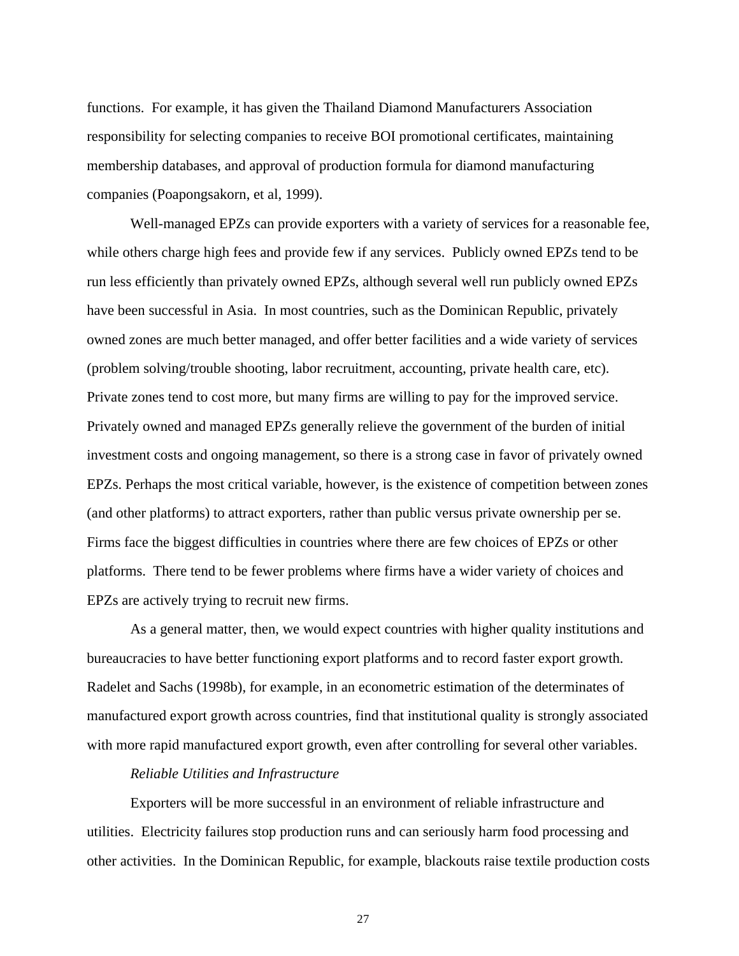functions. For example, it has given the Thailand Diamond Manufacturers Association responsibility for selecting companies to receive BOI promotional certificates, maintaining membership databases, and approval of production formula for diamond manufacturing companies (Poapongsakorn, et al, 1999).

Well-managed EPZs can provide exporters with a variety of services for a reasonable fee, while others charge high fees and provide few if any services. Publicly owned EPZs tend to be run less efficiently than privately owned EPZs, although several well run publicly owned EPZs have been successful in Asia. In most countries, such as the Dominican Republic, privately owned zones are much better managed, and offer better facilities and a wide variety of services (problem solving/trouble shooting, labor recruitment, accounting, private health care, etc). Private zones tend to cost more, but many firms are willing to pay for the improved service. Privately owned and managed EPZs generally relieve the government of the burden of initial investment costs and ongoing management, so there is a strong case in favor of privately owned EPZs. Perhaps the most critical variable, however, is the existence of competition between zones (and other platforms) to attract exporters, rather than public versus private ownership per se. Firms face the biggest difficulties in countries where there are few choices of EPZs or other platforms. There tend to be fewer problems where firms have a wider variety of choices and EPZs are actively trying to recruit new firms.

As a general matter, then, we would expect countries with higher quality institutions and bureaucracies to have better functioning export platforms and to record faster export growth. Radelet and Sachs (1998b), for example, in an econometric estimation of the determinates of manufactured export growth across countries, find that institutional quality is strongly associated with more rapid manufactured export growth, even after controlling for several other variables.

#### *Reliable Utilities and Infrastructure*

Exporters will be more successful in an environment of reliable infrastructure and utilities. Electricity failures stop production runs and can seriously harm food processing and other activities. In the Dominican Republic, for example, blackouts raise textile production costs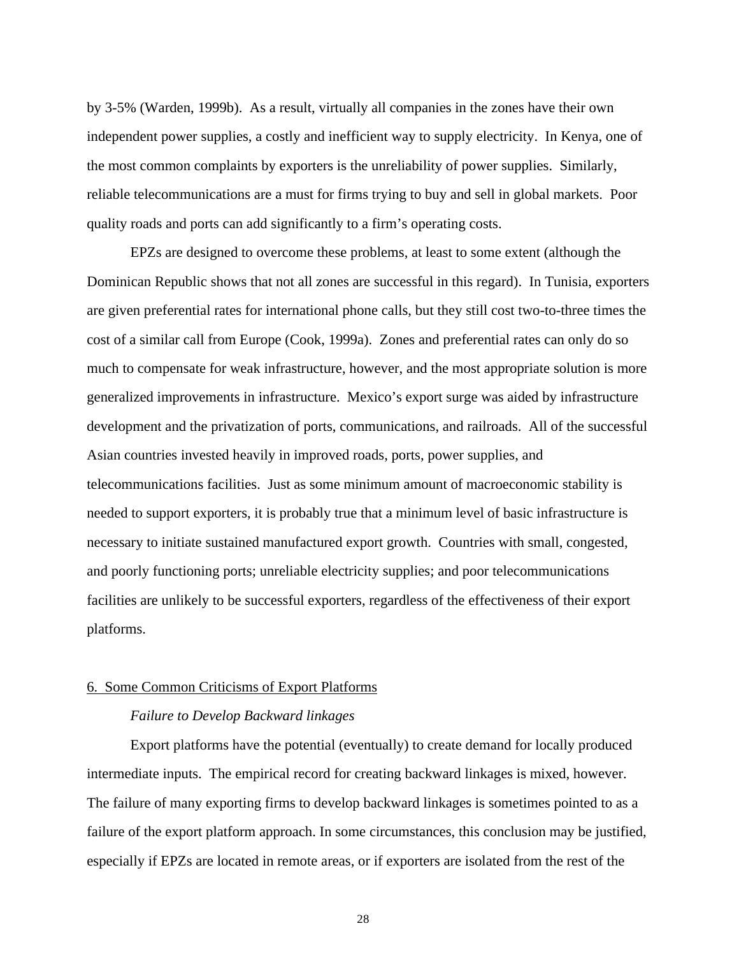by 3-5% (Warden, 1999b). As a result, virtually all companies in the zones have their own independent power supplies, a costly and inefficient way to supply electricity. In Kenya, one of the most common complaints by exporters is the unreliability of power supplies. Similarly, reliable telecommunications are a must for firms trying to buy and sell in global markets. Poor quality roads and ports can add significantly to a firm's operating costs.

EPZs are designed to overcome these problems, at least to some extent (although the Dominican Republic shows that not all zones are successful in this regard). In Tunisia, exporters are given preferential rates for international phone calls, but they still cost two-to-three times the cost of a similar call from Europe (Cook, 1999a). Zones and preferential rates can only do so much to compensate for weak infrastructure, however, and the most appropriate solution is more generalized improvements in infrastructure. Mexico's export surge was aided by infrastructure development and the privatization of ports, communications, and railroads. All of the successful Asian countries invested heavily in improved roads, ports, power supplies, and telecommunications facilities. Just as some minimum amount of macroeconomic stability is needed to support exporters, it is probably true that a minimum level of basic infrastructure is necessary to initiate sustained manufactured export growth. Countries with small, congested, and poorly functioning ports; unreliable electricity supplies; and poor telecommunications facilities are unlikely to be successful exporters, regardless of the effectiveness of their export platforms.

## 6. Some Common Criticisms of Export Platforms

## *Failure to Develop Backward linkages*

Export platforms have the potential (eventually) to create demand for locally produced intermediate inputs. The empirical record for creating backward linkages is mixed, however. The failure of many exporting firms to develop backward linkages is sometimes pointed to as a failure of the export platform approach. In some circumstances, this conclusion may be justified, especially if EPZs are located in remote areas, or if exporters are isolated from the rest of the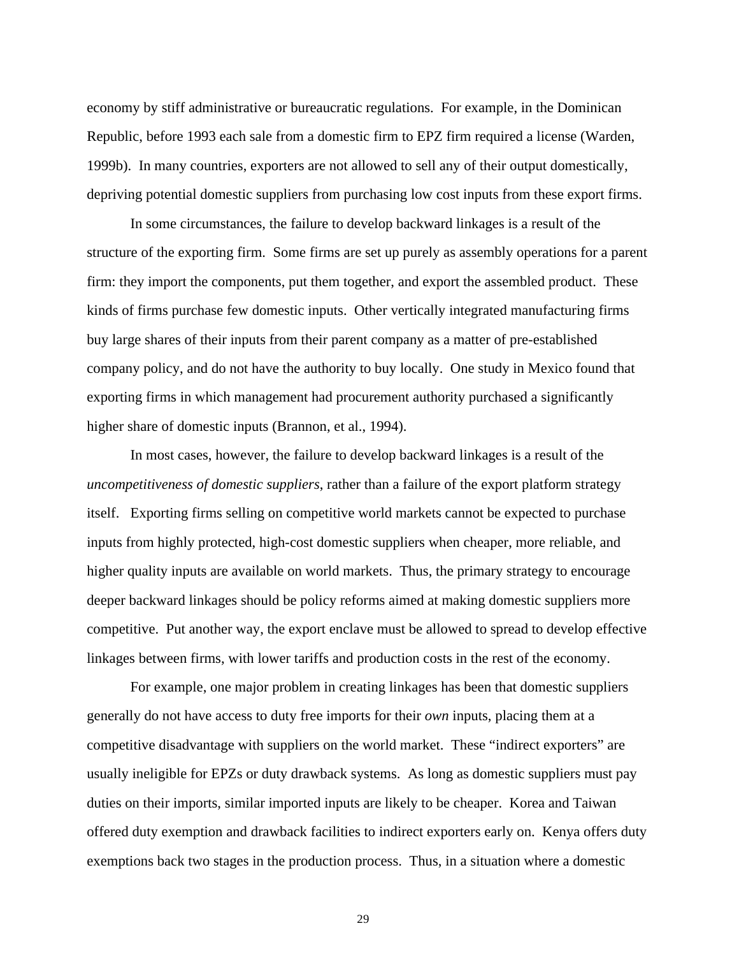economy by stiff administrative or bureaucratic regulations. For example, in the Dominican Republic, before 1993 each sale from a domestic firm to EPZ firm required a license (Warden, 1999b). In many countries, exporters are not allowed to sell any of their output domestically, depriving potential domestic suppliers from purchasing low cost inputs from these export firms.

In some circumstances, the failure to develop backward linkages is a result of the structure of the exporting firm. Some firms are set up purely as assembly operations for a parent firm: they import the components, put them together, and export the assembled product. These kinds of firms purchase few domestic inputs. Other vertically integrated manufacturing firms buy large shares of their inputs from their parent company as a matter of pre-established company policy, and do not have the authority to buy locally. One study in Mexico found that exporting firms in which management had procurement authority purchased a significantly higher share of domestic inputs (Brannon, et al., 1994).

In most cases, however, the failure to develop backward linkages is a result of the *uncompetitiveness of domestic suppliers*, rather than a failure of the export platform strategy itself. Exporting firms selling on competitive world markets cannot be expected to purchase inputs from highly protected, high-cost domestic suppliers when cheaper, more reliable, and higher quality inputs are available on world markets. Thus, the primary strategy to encourage deeper backward linkages should be policy reforms aimed at making domestic suppliers more competitive. Put another way, the export enclave must be allowed to spread to develop effective linkages between firms, with lower tariffs and production costs in the rest of the economy.

For example, one major problem in creating linkages has been that domestic suppliers generally do not have access to duty free imports for their *own* inputs, placing them at a competitive disadvantage with suppliers on the world market. These "indirect exporters" are usually ineligible for EPZs or duty drawback systems. As long as domestic suppliers must pay duties on their imports, similar imported inputs are likely to be cheaper. Korea and Taiwan offered duty exemption and drawback facilities to indirect exporters early on. Kenya offers duty exemptions back two stages in the production process. Thus, in a situation where a domestic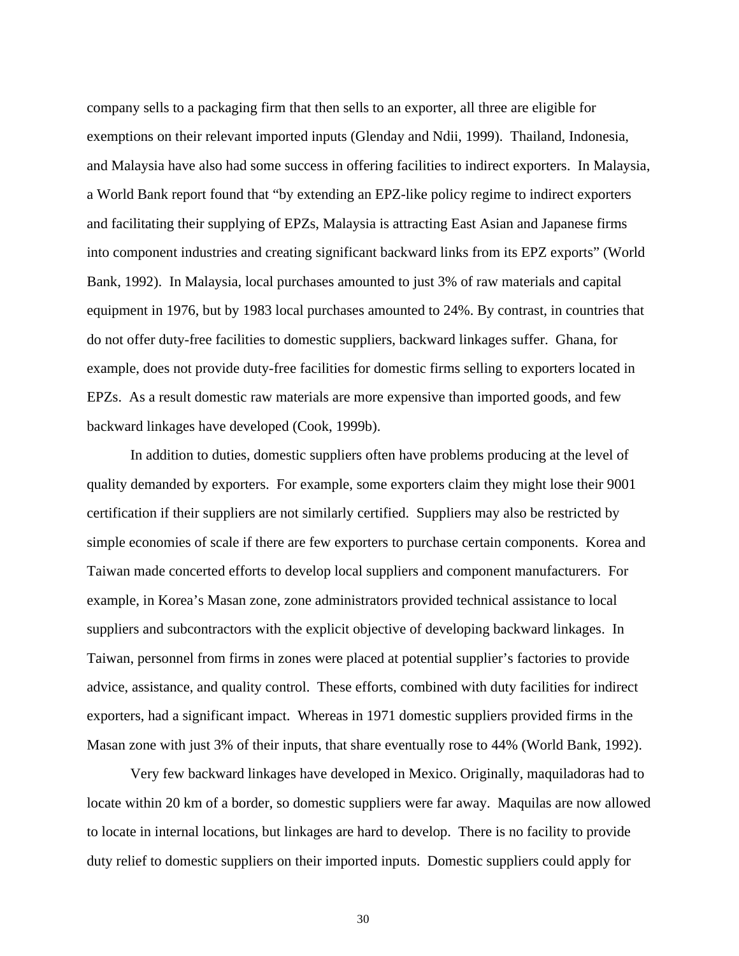company sells to a packaging firm that then sells to an exporter, all three are eligible for exemptions on their relevant imported inputs (Glenday and Ndii, 1999). Thailand, Indonesia, and Malaysia have also had some success in offering facilities to indirect exporters. In Malaysia, a World Bank report found that "by extending an EPZ-like policy regime to indirect exporters and facilitating their supplying of EPZs, Malaysia is attracting East Asian and Japanese firms into component industries and creating significant backward links from its EPZ exports" (World Bank, 1992). In Malaysia, local purchases amounted to just 3% of raw materials and capital equipment in 1976, but by 1983 local purchases amounted to 24%. By contrast, in countries that do not offer duty-free facilities to domestic suppliers, backward linkages suffer. Ghana, for example, does not provide duty-free facilities for domestic firms selling to exporters located in EPZs. As a result domestic raw materials are more expensive than imported goods, and few backward linkages have developed (Cook, 1999b).

In addition to duties, domestic suppliers often have problems producing at the level of quality demanded by exporters. For example, some exporters claim they might lose their 9001 certification if their suppliers are not similarly certified. Suppliers may also be restricted by simple economies of scale if there are few exporters to purchase certain components. Korea and Taiwan made concerted efforts to develop local suppliers and component manufacturers. For example, in Korea's Masan zone, zone administrators provided technical assistance to local suppliers and subcontractors with the explicit objective of developing backward linkages. In Taiwan, personnel from firms in zones were placed at potential supplier's factories to provide advice, assistance, and quality control. These efforts, combined with duty facilities for indirect exporters, had a significant impact. Whereas in 1971 domestic suppliers provided firms in the Masan zone with just 3% of their inputs, that share eventually rose to 44% (World Bank, 1992).

Very few backward linkages have developed in Mexico. Originally, maquiladoras had to locate within 20 km of a border, so domestic suppliers were far away. Maquilas are now allowed to locate in internal locations, but linkages are hard to develop. There is no facility to provide duty relief to domestic suppliers on their imported inputs. Domestic suppliers could apply for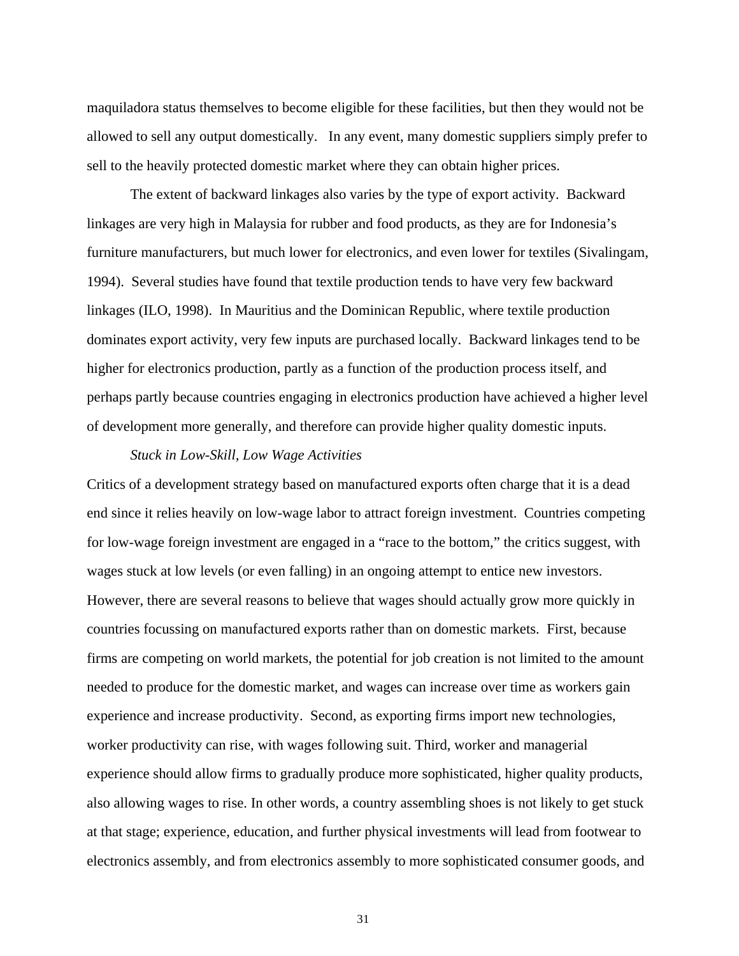maquiladora status themselves to become eligible for these facilities, but then they would not be allowed to sell any output domestically. In any event, many domestic suppliers simply prefer to sell to the heavily protected domestic market where they can obtain higher prices.

The extent of backward linkages also varies by the type of export activity. Backward linkages are very high in Malaysia for rubber and food products, as they are for Indonesia's furniture manufacturers, but much lower for electronics, and even lower for textiles (Sivalingam, 1994). Several studies have found that textile production tends to have very few backward linkages (ILO, 1998). In Mauritius and the Dominican Republic, where textile production dominates export activity, very few inputs are purchased locally. Backward linkages tend to be higher for electronics production, partly as a function of the production process itself, and perhaps partly because countries engaging in electronics production have achieved a higher level of development more generally, and therefore can provide higher quality domestic inputs.

#### *Stuck in Low-Skill, Low Wage Activities*

Critics of a development strategy based on manufactured exports often charge that it is a dead end since it relies heavily on low-wage labor to attract foreign investment. Countries competing for low-wage foreign investment are engaged in a "race to the bottom," the critics suggest, with wages stuck at low levels (or even falling) in an ongoing attempt to entice new investors. However, there are several reasons to believe that wages should actually grow more quickly in countries focussing on manufactured exports rather than on domestic markets. First, because firms are competing on world markets, the potential for job creation is not limited to the amount needed to produce for the domestic market, and wages can increase over time as workers gain experience and increase productivity. Second, as exporting firms import new technologies, worker productivity can rise, with wages following suit. Third, worker and managerial experience should allow firms to gradually produce more sophisticated, higher quality products, also allowing wages to rise. In other words, a country assembling shoes is not likely to get stuck at that stage; experience, education, and further physical investments will lead from footwear to electronics assembly, and from electronics assembly to more sophisticated consumer goods, and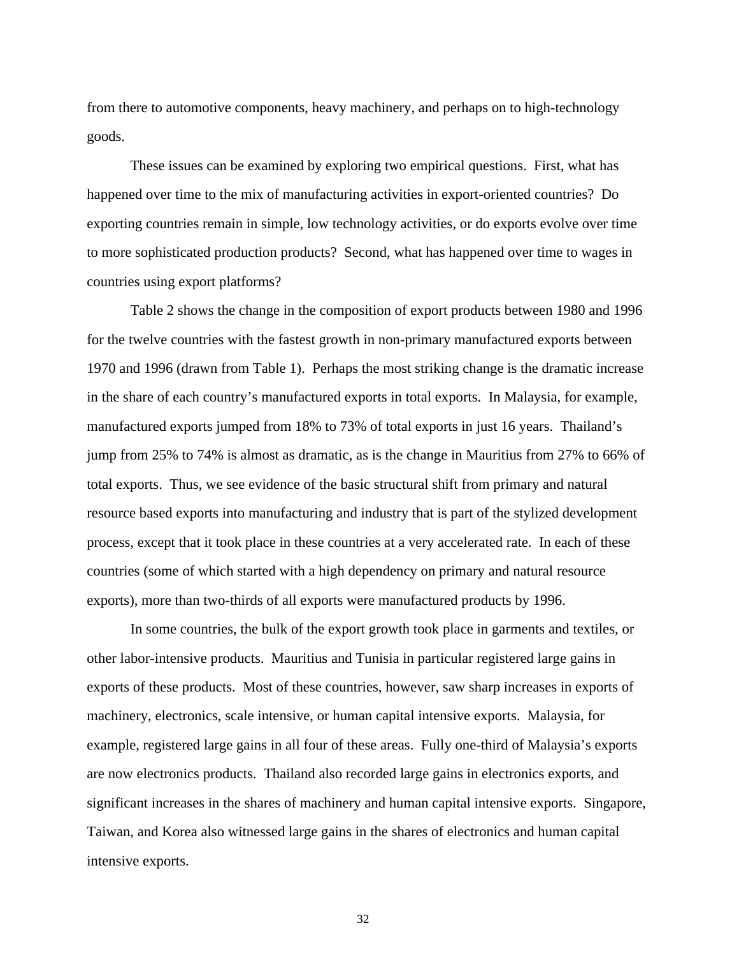from there to automotive components, heavy machinery, and perhaps on to high-technology goods.

These issues can be examined by exploring two empirical questions. First, what has happened over time to the mix of manufacturing activities in export-oriented countries? Do exporting countries remain in simple, low technology activities, or do exports evolve over time to more sophisticated production products? Second, what has happened over time to wages in countries using export platforms?

Table 2 shows the change in the composition of export products between 1980 and 1996 for the twelve countries with the fastest growth in non-primary manufactured exports between 1970 and 1996 (drawn from Table 1). Perhaps the most striking change is the dramatic increase in the share of each country's manufactured exports in total exports. In Malaysia, for example, manufactured exports jumped from 18% to 73% of total exports in just 16 years. Thailand's jump from 25% to 74% is almost as dramatic, as is the change in Mauritius from 27% to 66% of total exports. Thus, we see evidence of the basic structural shift from primary and natural resource based exports into manufacturing and industry that is part of the stylized development process, except that it took place in these countries at a very accelerated rate. In each of these countries (some of which started with a high dependency on primary and natural resource exports), more than two-thirds of all exports were manufactured products by 1996.

In some countries, the bulk of the export growth took place in garments and textiles, or other labor-intensive products. Mauritius and Tunisia in particular registered large gains in exports of these products. Most of these countries, however, saw sharp increases in exports of machinery, electronics, scale intensive, or human capital intensive exports. Malaysia, for example, registered large gains in all four of these areas. Fully one-third of Malaysia's exports are now electronics products. Thailand also recorded large gains in electronics exports, and significant increases in the shares of machinery and human capital intensive exports. Singapore, Taiwan, and Korea also witnessed large gains in the shares of electronics and human capital intensive exports.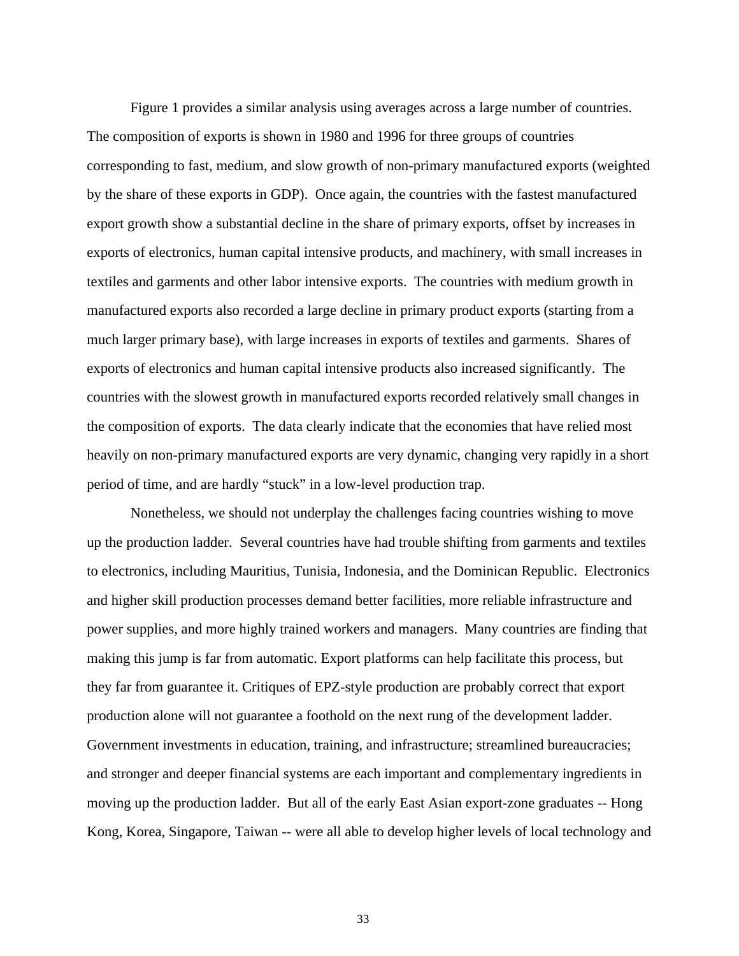Figure 1 provides a similar analysis using averages across a large number of countries. The composition of exports is shown in 1980 and 1996 for three groups of countries corresponding to fast, medium, and slow growth of non-primary manufactured exports (weighted by the share of these exports in GDP). Once again, the countries with the fastest manufactured export growth show a substantial decline in the share of primary exports, offset by increases in exports of electronics, human capital intensive products, and machinery, with small increases in textiles and garments and other labor intensive exports. The countries with medium growth in manufactured exports also recorded a large decline in primary product exports (starting from a much larger primary base), with large increases in exports of textiles and garments. Shares of exports of electronics and human capital intensive products also increased significantly. The countries with the slowest growth in manufactured exports recorded relatively small changes in the composition of exports. The data clearly indicate that the economies that have relied most heavily on non-primary manufactured exports are very dynamic, changing very rapidly in a short period of time, and are hardly "stuck" in a low-level production trap.

Nonetheless, we should not underplay the challenges facing countries wishing to move up the production ladder. Several countries have had trouble shifting from garments and textiles to electronics, including Mauritius, Tunisia, Indonesia, and the Dominican Republic. Electronics and higher skill production processes demand better facilities, more reliable infrastructure and power supplies, and more highly trained workers and managers. Many countries are finding that making this jump is far from automatic. Export platforms can help facilitate this process, but they far from guarantee it. Critiques of EPZ-style production are probably correct that export production alone will not guarantee a foothold on the next rung of the development ladder. Government investments in education, training, and infrastructure; streamlined bureaucracies; and stronger and deeper financial systems are each important and complementary ingredients in moving up the production ladder. But all of the early East Asian export-zone graduates -- Hong Kong, Korea, Singapore, Taiwan -- were all able to develop higher levels of local technology and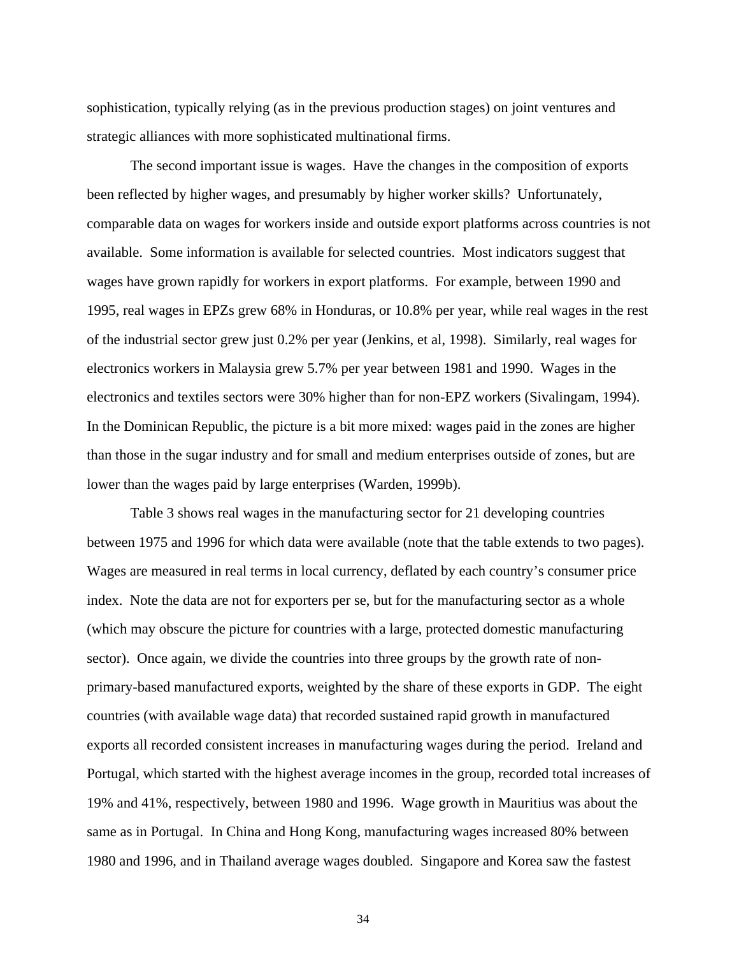sophistication, typically relying (as in the previous production stages) on joint ventures and strategic alliances with more sophisticated multinational firms.

The second important issue is wages. Have the changes in the composition of exports been reflected by higher wages, and presumably by higher worker skills? Unfortunately, comparable data on wages for workers inside and outside export platforms across countries is not available. Some information is available for selected countries. Most indicators suggest that wages have grown rapidly for workers in export platforms. For example, between 1990 and 1995, real wages in EPZs grew 68% in Honduras, or 10.8% per year, while real wages in the rest of the industrial sector grew just 0.2% per year (Jenkins, et al, 1998). Similarly, real wages for electronics workers in Malaysia grew 5.7% per year between 1981 and 1990. Wages in the electronics and textiles sectors were 30% higher than for non-EPZ workers (Sivalingam, 1994). In the Dominican Republic, the picture is a bit more mixed: wages paid in the zones are higher than those in the sugar industry and for small and medium enterprises outside of zones, but are lower than the wages paid by large enterprises (Warden, 1999b).

Table 3 shows real wages in the manufacturing sector for 21 developing countries between 1975 and 1996 for which data were available (note that the table extends to two pages). Wages are measured in real terms in local currency, deflated by each country's consumer price index. Note the data are not for exporters per se, but for the manufacturing sector as a whole (which may obscure the picture for countries with a large, protected domestic manufacturing sector). Once again, we divide the countries into three groups by the growth rate of nonprimary-based manufactured exports, weighted by the share of these exports in GDP. The eight countries (with available wage data) that recorded sustained rapid growth in manufactured exports all recorded consistent increases in manufacturing wages during the period. Ireland and Portugal, which started with the highest average incomes in the group, recorded total increases of 19% and 41%, respectively, between 1980 and 1996. Wage growth in Mauritius was about the same as in Portugal. In China and Hong Kong, manufacturing wages increased 80% between 1980 and 1996, and in Thailand average wages doubled. Singapore and Korea saw the fastest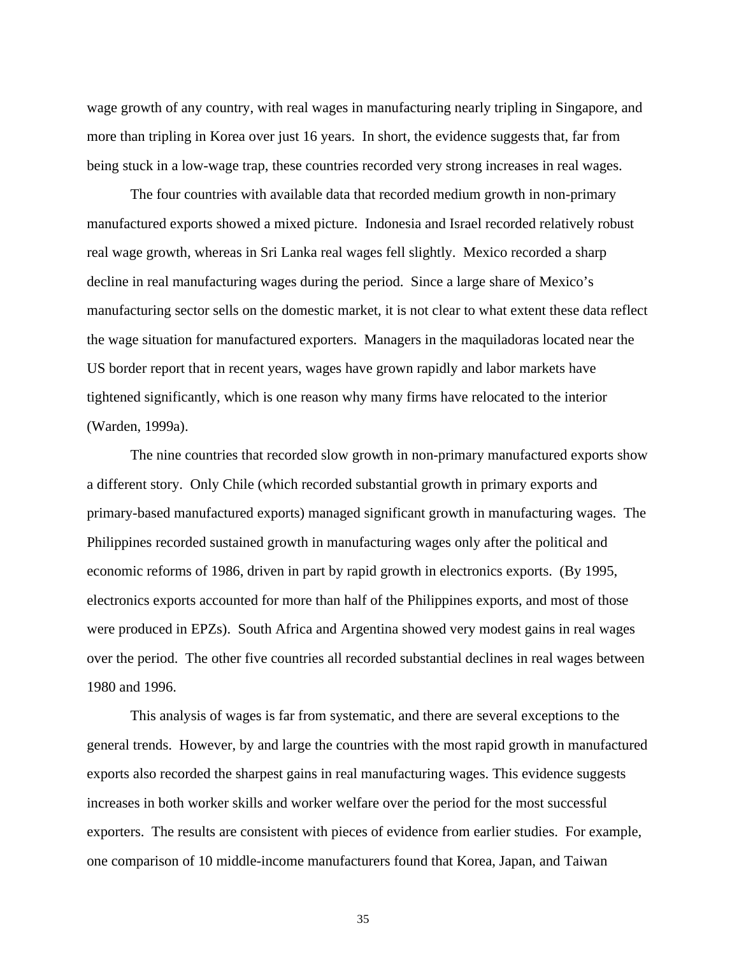wage growth of any country, with real wages in manufacturing nearly tripling in Singapore, and more than tripling in Korea over just 16 years. In short, the evidence suggests that, far from being stuck in a low-wage trap, these countries recorded very strong increases in real wages.

The four countries with available data that recorded medium growth in non-primary manufactured exports showed a mixed picture. Indonesia and Israel recorded relatively robust real wage growth, whereas in Sri Lanka real wages fell slightly. Mexico recorded a sharp decline in real manufacturing wages during the period. Since a large share of Mexico's manufacturing sector sells on the domestic market, it is not clear to what extent these data reflect the wage situation for manufactured exporters. Managers in the maquiladoras located near the US border report that in recent years, wages have grown rapidly and labor markets have tightened significantly, which is one reason why many firms have relocated to the interior (Warden, 1999a).

The nine countries that recorded slow growth in non-primary manufactured exports show a different story. Only Chile (which recorded substantial growth in primary exports and primary-based manufactured exports) managed significant growth in manufacturing wages. The Philippines recorded sustained growth in manufacturing wages only after the political and economic reforms of 1986, driven in part by rapid growth in electronics exports. (By 1995, electronics exports accounted for more than half of the Philippines exports, and most of those were produced in EPZs). South Africa and Argentina showed very modest gains in real wages over the period. The other five countries all recorded substantial declines in real wages between 1980 and 1996.

This analysis of wages is far from systematic, and there are several exceptions to the general trends. However, by and large the countries with the most rapid growth in manufactured exports also recorded the sharpest gains in real manufacturing wages. This evidence suggests increases in both worker skills and worker welfare over the period for the most successful exporters. The results are consistent with pieces of evidence from earlier studies. For example, one comparison of 10 middle-income manufacturers found that Korea, Japan, and Taiwan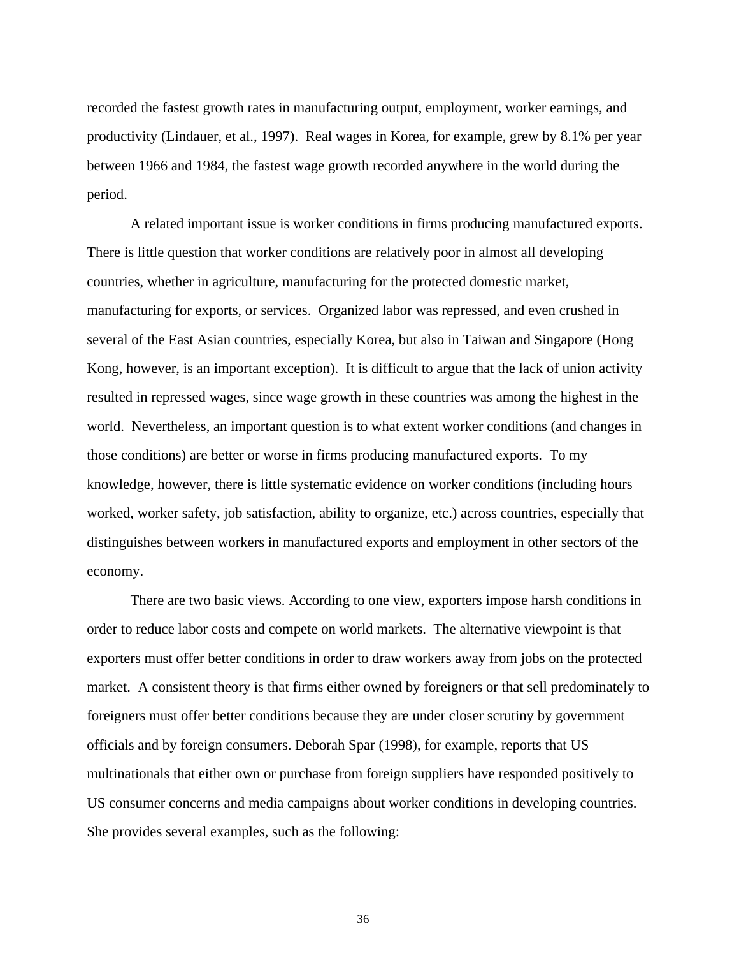recorded the fastest growth rates in manufacturing output, employment, worker earnings, and productivity (Lindauer, et al., 1997). Real wages in Korea, for example, grew by 8.1% per year between 1966 and 1984, the fastest wage growth recorded anywhere in the world during the period.

A related important issue is worker conditions in firms producing manufactured exports. There is little question that worker conditions are relatively poor in almost all developing countries, whether in agriculture, manufacturing for the protected domestic market, manufacturing for exports, or services. Organized labor was repressed, and even crushed in several of the East Asian countries, especially Korea, but also in Taiwan and Singapore (Hong Kong, however, is an important exception). It is difficult to argue that the lack of union activity resulted in repressed wages, since wage growth in these countries was among the highest in the world. Nevertheless, an important question is to what extent worker conditions (and changes in those conditions) are better or worse in firms producing manufactured exports. To my knowledge, however, there is little systematic evidence on worker conditions (including hours worked, worker safety, job satisfaction, ability to organize, etc.) across countries, especially that distinguishes between workers in manufactured exports and employment in other sectors of the economy.

There are two basic views. According to one view, exporters impose harsh conditions in order to reduce labor costs and compete on world markets. The alternative viewpoint is that exporters must offer better conditions in order to draw workers away from jobs on the protected market. A consistent theory is that firms either owned by foreigners or that sell predominately to foreigners must offer better conditions because they are under closer scrutiny by government officials and by foreign consumers. Deborah Spar (1998), for example, reports that US multinationals that either own or purchase from foreign suppliers have responded positively to US consumer concerns and media campaigns about worker conditions in developing countries. She provides several examples, such as the following: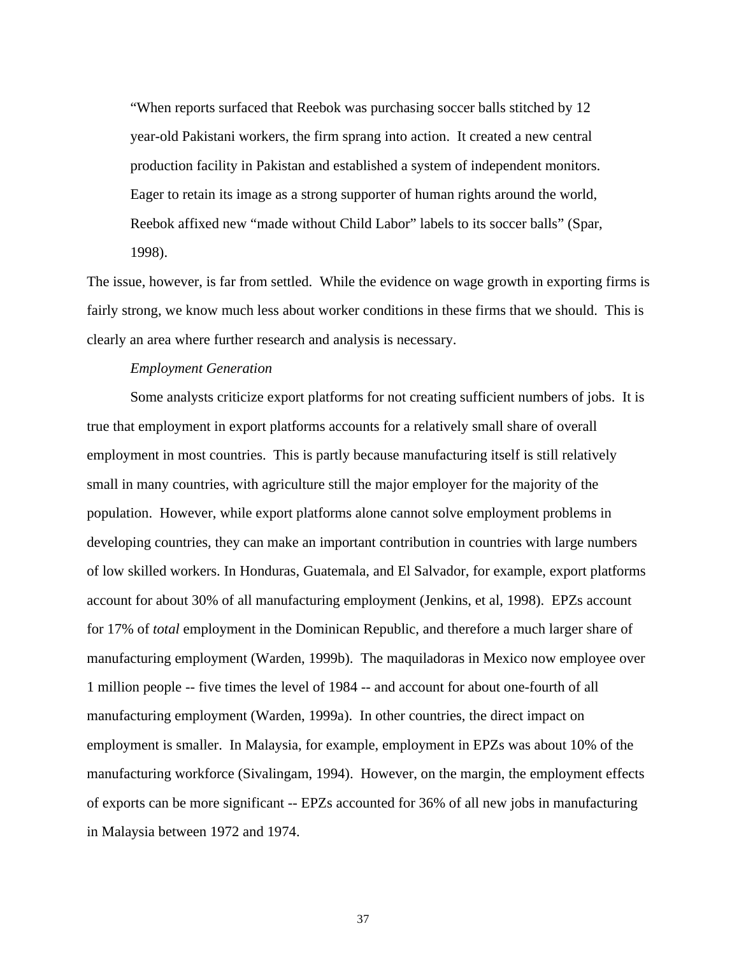"When reports surfaced that Reebok was purchasing soccer balls stitched by 12 year-old Pakistani workers, the firm sprang into action. It created a new central production facility in Pakistan and established a system of independent monitors. Eager to retain its image as a strong supporter of human rights around the world, Reebok affixed new "made without Child Labor" labels to its soccer balls" (Spar, 1998).

The issue, however, is far from settled. While the evidence on wage growth in exporting firms is fairly strong, we know much less about worker conditions in these firms that we should. This is clearly an area where further research and analysis is necessary.

## *Employment Generation*

Some analysts criticize export platforms for not creating sufficient numbers of jobs. It is true that employment in export platforms accounts for a relatively small share of overall employment in most countries. This is partly because manufacturing itself is still relatively small in many countries, with agriculture still the major employer for the majority of the population. However, while export platforms alone cannot solve employment problems in developing countries, they can make an important contribution in countries with large numbers of low skilled workers. In Honduras, Guatemala, and El Salvador, for example, export platforms account for about 30% of all manufacturing employment (Jenkins, et al, 1998). EPZs account for 17% of *total* employment in the Dominican Republic, and therefore a much larger share of manufacturing employment (Warden, 1999b). The maquiladoras in Mexico now employee over 1 million people -- five times the level of 1984 -- and account for about one-fourth of all manufacturing employment (Warden, 1999a). In other countries, the direct impact on employment is smaller. In Malaysia, for example, employment in EPZs was about 10% of the manufacturing workforce (Sivalingam, 1994). However, on the margin, the employment effects of exports can be more significant -- EPZs accounted for 36% of all new jobs in manufacturing in Malaysia between 1972 and 1974.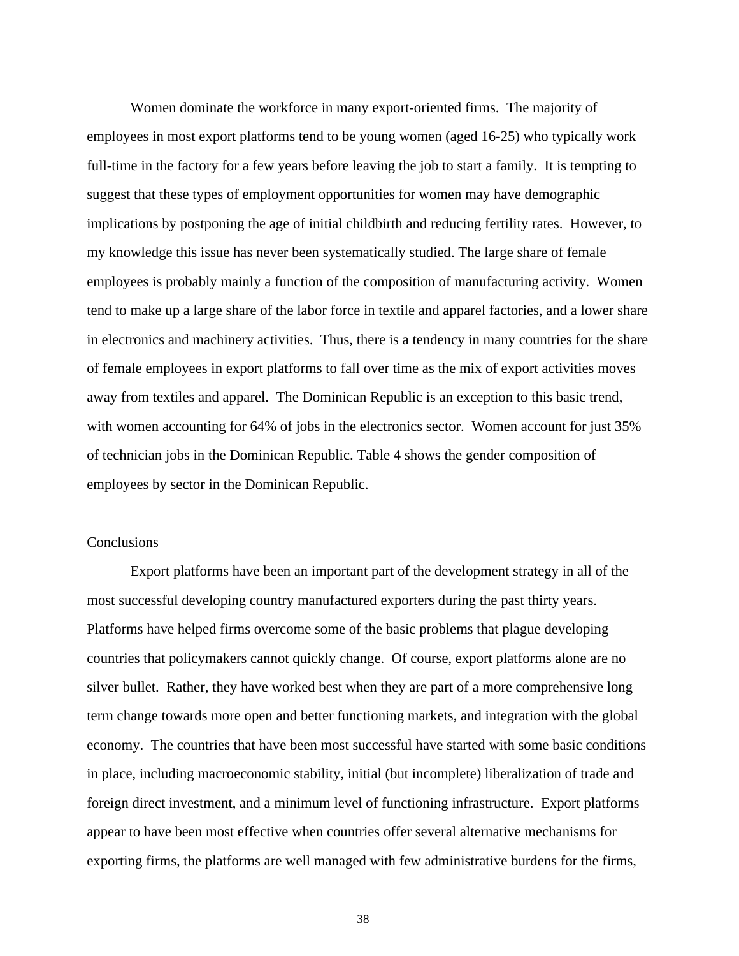Women dominate the workforce in many export-oriented firms. The majority of employees in most export platforms tend to be young women (aged 16-25) who typically work full-time in the factory for a few years before leaving the job to start a family. It is tempting to suggest that these types of employment opportunities for women may have demographic implications by postponing the age of initial childbirth and reducing fertility rates. However, to my knowledge this issue has never been systematically studied. The large share of female employees is probably mainly a function of the composition of manufacturing activity. Women tend to make up a large share of the labor force in textile and apparel factories, and a lower share in electronics and machinery activities. Thus, there is a tendency in many countries for the share of female employees in export platforms to fall over time as the mix of export activities moves away from textiles and apparel. The Dominican Republic is an exception to this basic trend, with women accounting for 64% of jobs in the electronics sector. Women account for just 35% of technician jobs in the Dominican Republic. Table 4 shows the gender composition of employees by sector in the Dominican Republic.

#### **Conclusions**

Export platforms have been an important part of the development strategy in all of the most successful developing country manufactured exporters during the past thirty years. Platforms have helped firms overcome some of the basic problems that plague developing countries that policymakers cannot quickly change. Of course, export platforms alone are no silver bullet. Rather, they have worked best when they are part of a more comprehensive long term change towards more open and better functioning markets, and integration with the global economy. The countries that have been most successful have started with some basic conditions in place, including macroeconomic stability, initial (but incomplete) liberalization of trade and foreign direct investment, and a minimum level of functioning infrastructure. Export platforms appear to have been most effective when countries offer several alternative mechanisms for exporting firms, the platforms are well managed with few administrative burdens for the firms,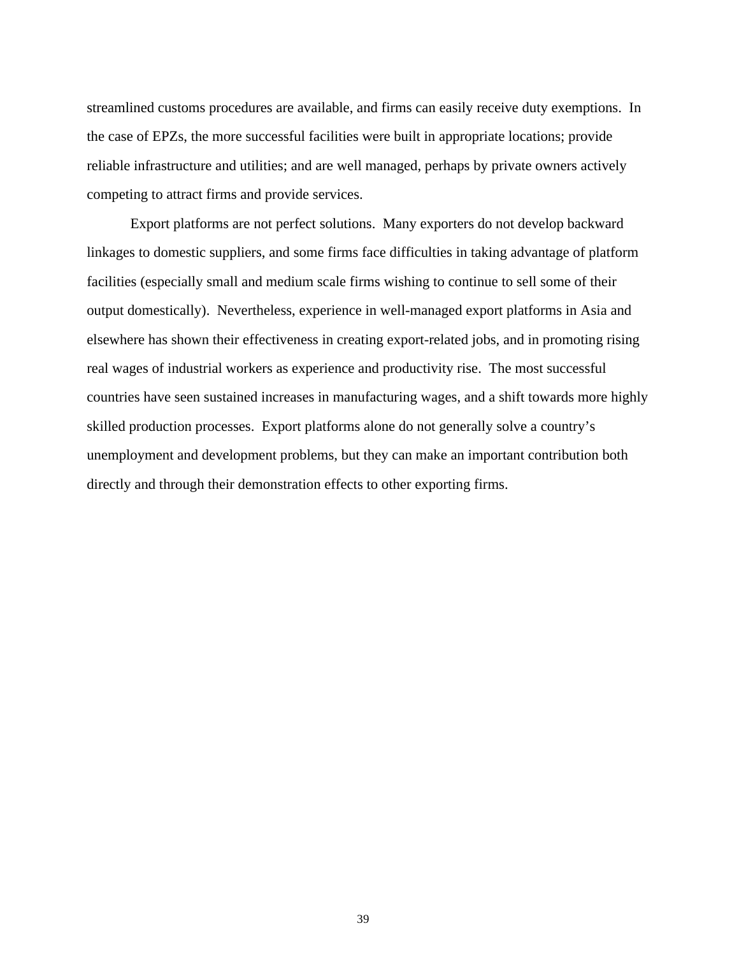streamlined customs procedures are available, and firms can easily receive duty exemptions. In the case of EPZs, the more successful facilities were built in appropriate locations; provide reliable infrastructure and utilities; and are well managed, perhaps by private owners actively competing to attract firms and provide services.

Export platforms are not perfect solutions. Many exporters do not develop backward linkages to domestic suppliers, and some firms face difficulties in taking advantage of platform facilities (especially small and medium scale firms wishing to continue to sell some of their output domestically). Nevertheless, experience in well-managed export platforms in Asia and elsewhere has shown their effectiveness in creating export-related jobs, and in promoting rising real wages of industrial workers as experience and productivity rise. The most successful countries have seen sustained increases in manufacturing wages, and a shift towards more highly skilled production processes. Export platforms alone do not generally solve a country's unemployment and development problems, but they can make an important contribution both directly and through their demonstration effects to other exporting firms.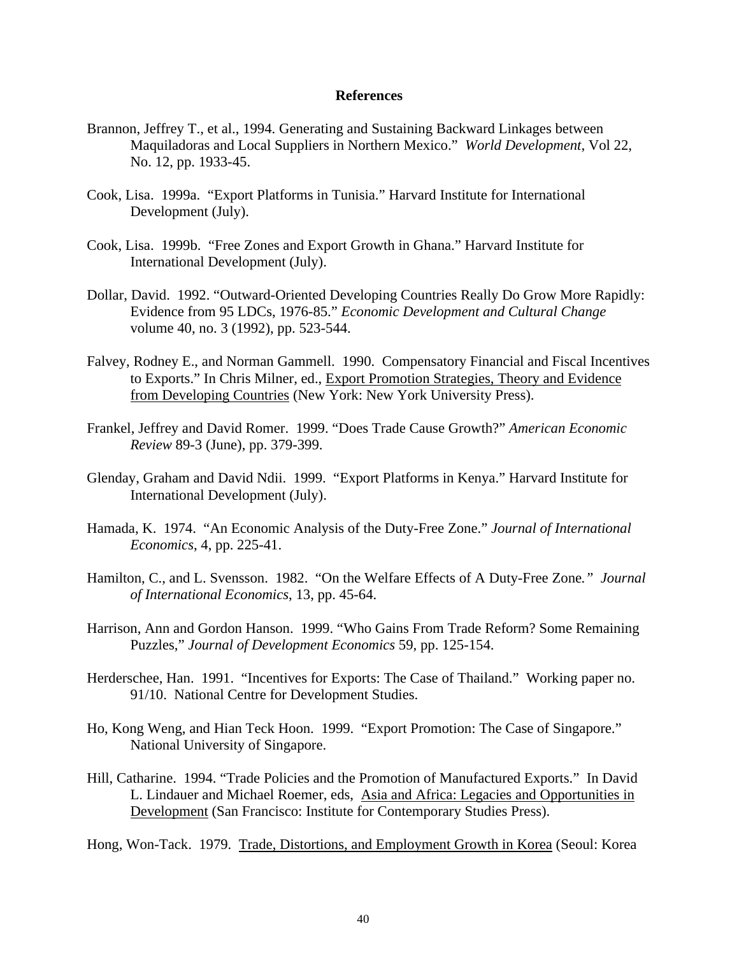## **References**

- Brannon, Jeffrey T., et al., 1994. Generating and Sustaining Backward Linkages between Maquiladoras and Local Suppliers in Northern Mexico." *World Development*, Vol 22, No. 12, pp. 1933-45.
- Cook, Lisa. 1999a. "Export Platforms in Tunisia." Harvard Institute for International Development (July).
- Cook, Lisa. 1999b. "Free Zones and Export Growth in Ghana." Harvard Institute for International Development (July).
- Dollar, David. 1992. "Outward-Oriented Developing Countries Really Do Grow More Rapidly: Evidence from 95 LDCs, 1976-85." *Economic Development and Cultural Change* volume 40, no. 3 (1992), pp. 523-544.
- Falvey, Rodney E., and Norman Gammell. 1990. Compensatory Financial and Fiscal Incentives to Exports." In Chris Milner, ed., Export Promotion Strategies, Theory and Evidence from Developing Countries (New York: New York University Press).
- Frankel, Jeffrey and David Romer. 1999. "Does Trade Cause Growth?" *American Economic Review* 89-3 (June), pp. 379-399.
- Glenday, Graham and David Ndii. 1999. "Export Platforms in Kenya." Harvard Institute for International Development (July).
- Hamada, K. 1974. "An Economic Analysis of the Duty-Free Zone." *Journal of International Economics*, 4, pp. 225-41.
- Hamilton, C., and L. Svensson. 1982. "On the Welfare Effects of A Duty-Free Zone*." Journal of International Economics*, 13, pp. 45-64.
- Harrison, Ann and Gordon Hanson. 1999. "Who Gains From Trade Reform? Some Remaining Puzzles," *Journal of Development Economics* 59, pp. 125-154.
- Herderschee, Han. 1991. "Incentives for Exports: The Case of Thailand." Working paper no. 91/10. National Centre for Development Studies.
- Ho, Kong Weng, and Hian Teck Hoon. 1999. "Export Promotion: The Case of Singapore." National University of Singapore.
- Hill, Catharine. 1994. "Trade Policies and the Promotion of Manufactured Exports." In David L. Lindauer and Michael Roemer, eds, Asia and Africa: Legacies and Opportunities in Development (San Francisco: Institute for Contemporary Studies Press).

Hong, Won-Tack. 1979. Trade, Distortions, and Employment Growth in Korea (Seoul: Korea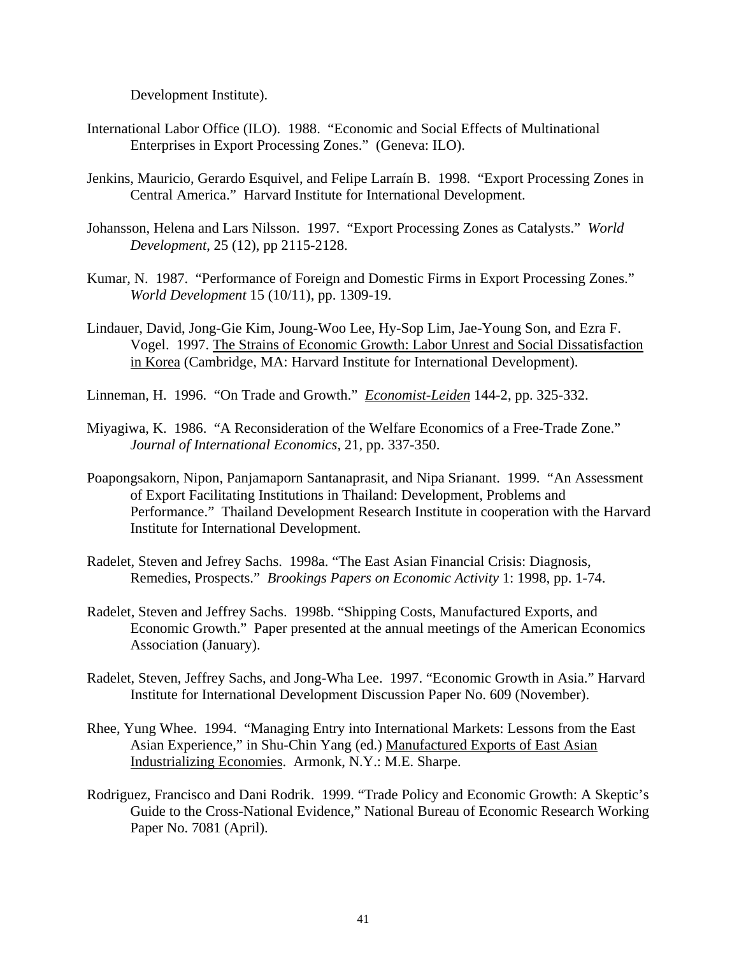Development Institute).

- International Labor Office (ILO). 1988. "Economic and Social Effects of Multinational Enterprises in Export Processing Zones." (Geneva: ILO).
- Jenkins, Mauricio, Gerardo Esquivel, and Felipe Larraín B. 1998. "Export Processing Zones in Central America." Harvard Institute for International Development.
- Johansson, Helena and Lars Nilsson. 1997. "Export Processing Zones as Catalysts." *World Development*, 25 (12), pp 2115-2128.
- Kumar, N. 1987. "Performance of Foreign and Domestic Firms in Export Processing Zones." *World Development* 15 (10/11), pp. 1309-19.
- Lindauer, David, Jong-Gie Kim, Joung-Woo Lee, Hy-Sop Lim, Jae-Young Son, and Ezra F. Vogel. 1997. The Strains of Economic Growth: Labor Unrest and Social Dissatisfaction in Korea (Cambridge, MA: Harvard Institute for International Development).

Linneman, H. 1996. "On Trade and Growth." *Economist-Leiden* 144-2, pp. 325-332.

- Miyagiwa, K. 1986. "A Reconsideration of the Welfare Economics of a Free-Trade Zone." *Journal of International Economics*, 21, pp. 337-350.
- Poapongsakorn, Nipon, Panjamaporn Santanaprasit, and Nipa Srianant. 1999. "An Assessment of Export Facilitating Institutions in Thailand: Development, Problems and Performance." Thailand Development Research Institute in cooperation with the Harvard Institute for International Development.
- Radelet, Steven and Jefrey Sachs. 1998a. "The East Asian Financial Crisis: Diagnosis, Remedies, Prospects." *Brookings Papers on Economic Activity* 1: 1998, pp. 1-74.
- Radelet, Steven and Jeffrey Sachs. 1998b. "Shipping Costs, Manufactured Exports, and Economic Growth." Paper presented at the annual meetings of the American Economics Association (January).
- Radelet, Steven, Jeffrey Sachs, and Jong-Wha Lee. 1997. "Economic Growth in Asia." Harvard Institute for International Development Discussion Paper No. 609 (November).
- Rhee, Yung Whee. 1994. "Managing Entry into International Markets: Lessons from the East Asian Experience," in Shu-Chin Yang (ed.) Manufactured Exports of East Asian Industrializing Economies. Armonk, N.Y.: M.E. Sharpe.
- Rodriguez, Francisco and Dani Rodrik. 1999. "Trade Policy and Economic Growth: A Skeptic's Guide to the Cross-National Evidence," National Bureau of Economic Research Working Paper No. 7081 (April).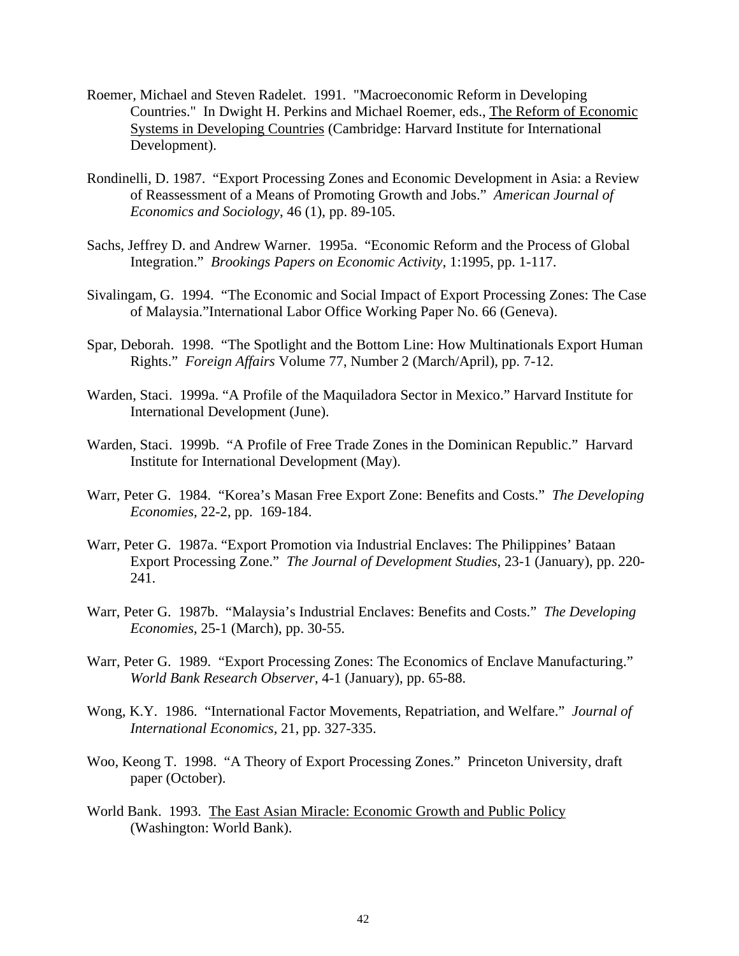- Roemer, Michael and Steven Radelet. 1991. "Macroeconomic Reform in Developing Countries." In Dwight H. Perkins and Michael Roemer, eds., The Reform of Economic Systems in Developing Countries (Cambridge: Harvard Institute for International Development).
- Rondinelli, D. 1987. "Export Processing Zones and Economic Development in Asia: a Review of Reassessment of a Means of Promoting Growth and Jobs." *American Journal of Economics and Sociology*, 46 (1), pp. 89-105.
- Sachs, Jeffrey D. and Andrew Warner. 1995a. "Economic Reform and the Process of Global Integration." *Brookings Papers on Economic Activity*, 1:1995, pp. 1-117.
- Sivalingam, G. 1994. "The Economic and Social Impact of Export Processing Zones: The Case of Malaysia."International Labor Office Working Paper No. 66 (Geneva).
- Spar, Deborah. 1998. "The Spotlight and the Bottom Line: How Multinationals Export Human Rights." *Foreign Affairs* Volume 77, Number 2 (March/April), pp. 7-12.
- Warden, Staci. 1999a. "A Profile of the Maquiladora Sector in Mexico." Harvard Institute for International Development (June).
- Warden, Staci. 1999b. "A Profile of Free Trade Zones in the Dominican Republic." Harvard Institute for International Development (May).
- Warr, Peter G. 1984. "Korea's Masan Free Export Zone: Benefits and Costs." *The Developing Economies,* 22-2, pp. 169-184.
- Warr, Peter G. 1987a. "Export Promotion via Industrial Enclaves: The Philippines' Bataan Export Processing Zone." *The Journal of Development Studies*, 23-1 (January), pp. 220- 241.
- Warr, Peter G. 1987b. "Malaysia's Industrial Enclaves: Benefits and Costs." *The Developing Economies*, 25-1 (March), pp. 30-55.
- Warr, Peter G. 1989. "Export Processing Zones: The Economics of Enclave Manufacturing." *World Bank Research Observer*, 4-1 (January), pp. 65-88.
- Wong, K.Y. 1986. "International Factor Movements, Repatriation, and Welfare." *Journal of International Economics*, 21, pp. 327-335.
- Woo, Keong T. 1998. "A Theory of Export Processing Zones." Princeton University, draft paper (October).
- World Bank. 1993. The East Asian Miracle: Economic Growth and Public Policy (Washington: World Bank).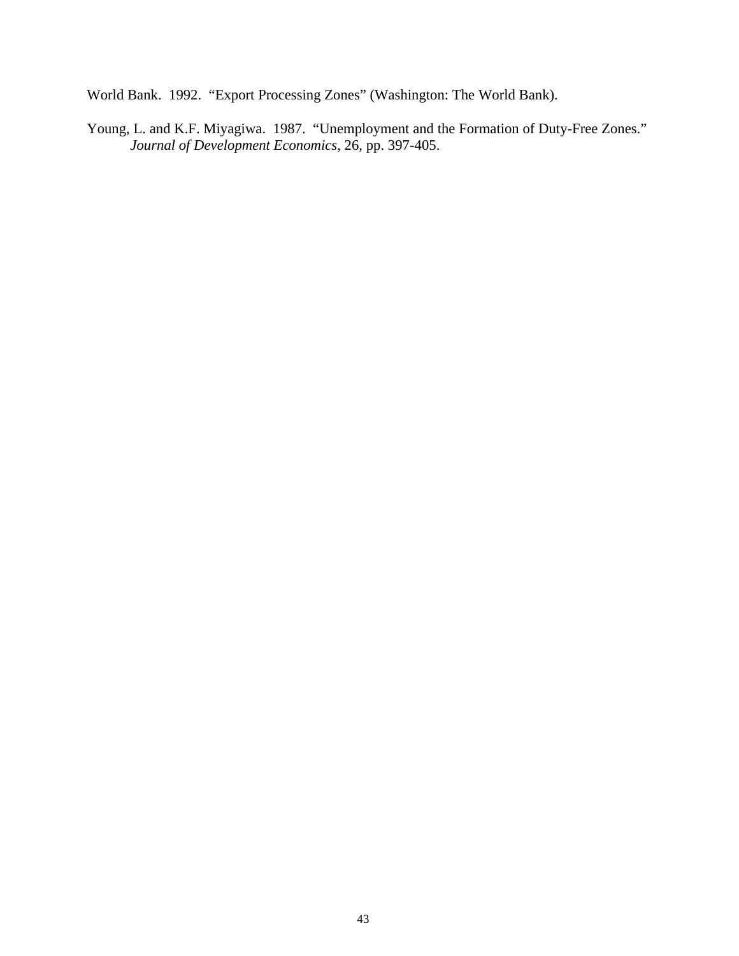World Bank. 1992. "Export Processing Zones" (Washington: The World Bank).

Young, L. and K.F. Miyagiwa. 1987. "Unemployment and the Formation of Duty-Free Zones." *Journal of Development Economics*, 26, pp. 397-405.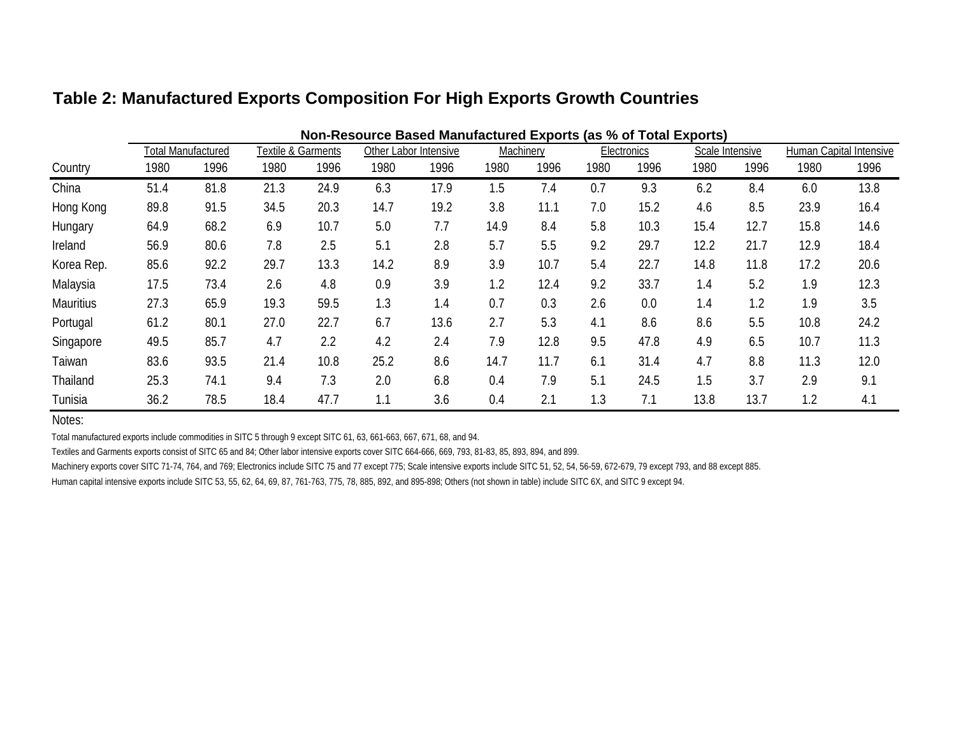|                  | Non-Resource Based Manufactured Exports (as % of Total Exports) |                           |      |                    |      |                       |      |           |      |                    |                 |      |      |                         |
|------------------|-----------------------------------------------------------------|---------------------------|------|--------------------|------|-----------------------|------|-----------|------|--------------------|-----------------|------|------|-------------------------|
|                  |                                                                 | <b>Total Manufactured</b> |      | Textile & Garments |      | Other Labor Intensive |      | Machinery |      | <b>Electronics</b> | Scale Intensive |      |      | Human Capital Intensive |
| Country          | 1980                                                            | 1996                      | 1980 | 1996               | 1980 | 1996                  | 1980 | 1996      | 1980 | 1996               | 1980            | 1996 | 1980 | 1996                    |
| China            | 51.4                                                            | 81.8                      | 21.3 | 24.9               | 6.3  | 17.9                  | 1.5  | 7.4       | 0.7  | 9.3                | 6.2             | 8.4  | 6.0  | 13.8                    |
| Hong Kong        | 89.8                                                            | 91.5                      | 34.5 | 20.3               | 14.7 | 19.2                  | 3.8  | 11.1      | 7.0  | 15.2               | 4.6             | 8.5  | 23.9 | 16.4                    |
| Hungary          | 64.9                                                            | 68.2                      | 6.9  | 10.7               | 5.0  | 7.7                   | 14.9 | 8.4       | 5.8  | 10.3               | 15.4            | 12.7 | 15.8 | 14.6                    |
| Ireland          | 56.9                                                            | 80.6                      | 7.8  | 2.5                | 5.1  | 2.8                   | 5.7  | 5.5       | 9.2  | 29.7               | 12.2            | 21.7 | 12.9 | 18.4                    |
| Korea Rep.       | 85.6                                                            | 92.2                      | 29.7 | 13.3               | 14.2 | 8.9                   | 3.9  | 10.7      | 5.4  | 22.7               | 14.8            | 11.8 | 17.2 | 20.6                    |
| Malaysia         | 17.5                                                            | 73.4                      | 2.6  | 4.8                | 0.9  | 3.9                   | 1.2  | 12.4      | 9.2  | 33.7               | 1.4             | 5.2  | 1.9  | 12.3                    |
| <b>Mauritius</b> | 27.3                                                            | 65.9                      | 19.3 | 59.5               | 1.3  | 1.4                   | 0.7  | 0.3       | 2.6  | 0.0                | 1.4             | 1.2  | 1.9  | 3.5                     |
| Portugal         | 61.2                                                            | 80.1                      | 27.0 | 22.7               | 6.7  | 13.6                  | 2.7  | 5.3       | 4.1  | 8.6                | 8.6             | 5.5  | 10.8 | 24.2                    |
| Singapore        | 49.5                                                            | 85.7                      | 4.7  | 2.2                | 4.2  | 2.4                   | 7.9  | 12.8      | 9.5  | 47.8               | 4.9             | 6.5  | 10.7 | 11.3                    |
| Taiwan           | 83.6                                                            | 93.5                      | 21.4 | 10.8               | 25.2 | 8.6                   | 14.7 | 11.7      | 6.1  | 31.4               | 4.7             | 8.8  | 11.3 | 12.0                    |
| Thailand         | 25.3                                                            | 74.1                      | 9.4  | 7.3                | 2.0  | 6.8                   | 0.4  | 7.9       | 5.1  | 24.5               | 1.5             | 3.7  | 2.9  | 9.1                     |
| Tunisia          | 36.2                                                            | 78.5                      | 18.4 | 47.7               | 1.1  | 3.6                   | 0.4  | 2.1       | 1.3  | 7.1                | 13.8            | 13.7 | 1.2  | 4.1                     |

# **Table 2: Manufactured Exports Composition For High Exports Growth Countries**

Notes:

Total manufactured exports include commodities in SITC 5 through 9 except SITC 61, 63, 661-663, 667, 671, 68, and 94.

Textiles and Garments exports consist of SITC 65 and 84; Other labor intensive exports cover SITC 664-666, 669, 793, 81-83, 85, 893, 894, and 899.

Machinery exports cover SITC 71-74, 764, and 769; Electronics include SITC 75 and 77 except 775; Scale intensive exports include SITC 51, 52, 54, 56-59, 672-679, 79 except 793, and 88 except 885.

Human capital intensive exports include SITC 53, 55, 62, 64, 69, 87, 761-763, 775, 78, 885, 892, and 895-898; Others (not shown in table) include SITC 6X, and SITC 9 except 94.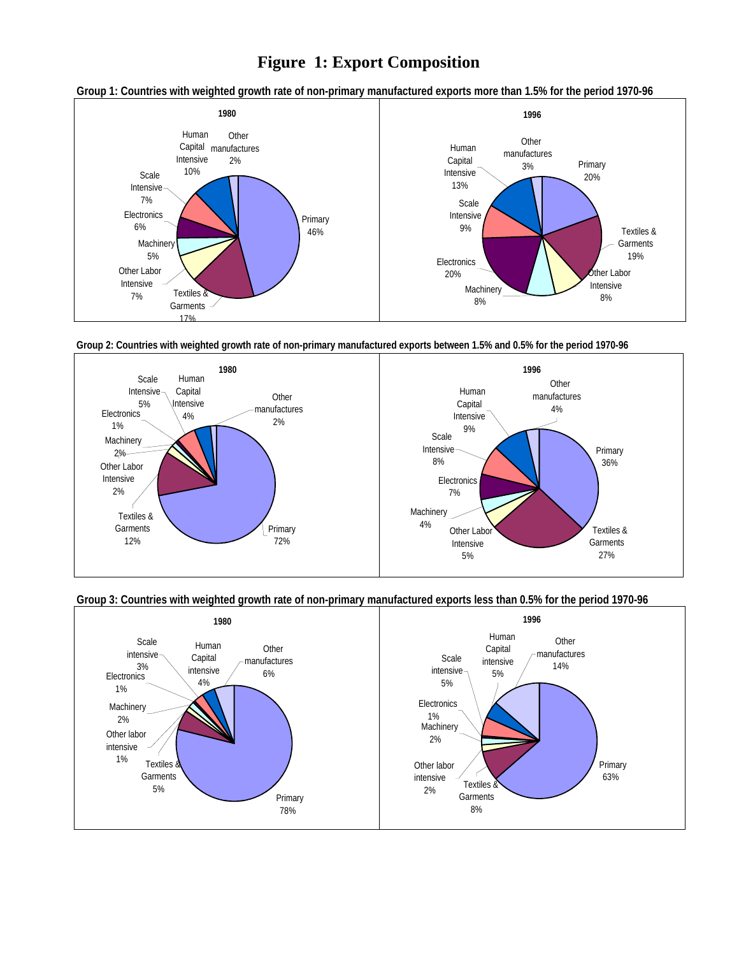# **Figure 1: Export Composition**

#### **Group 1: Countries with weighted growth rate of non-primary manufactured exports more than 1.5% for the period 1970-96**







## **Group 3: Countries with weighted growth rate of non-primary manufactured exports less than 0.5% for the period 1970-96**

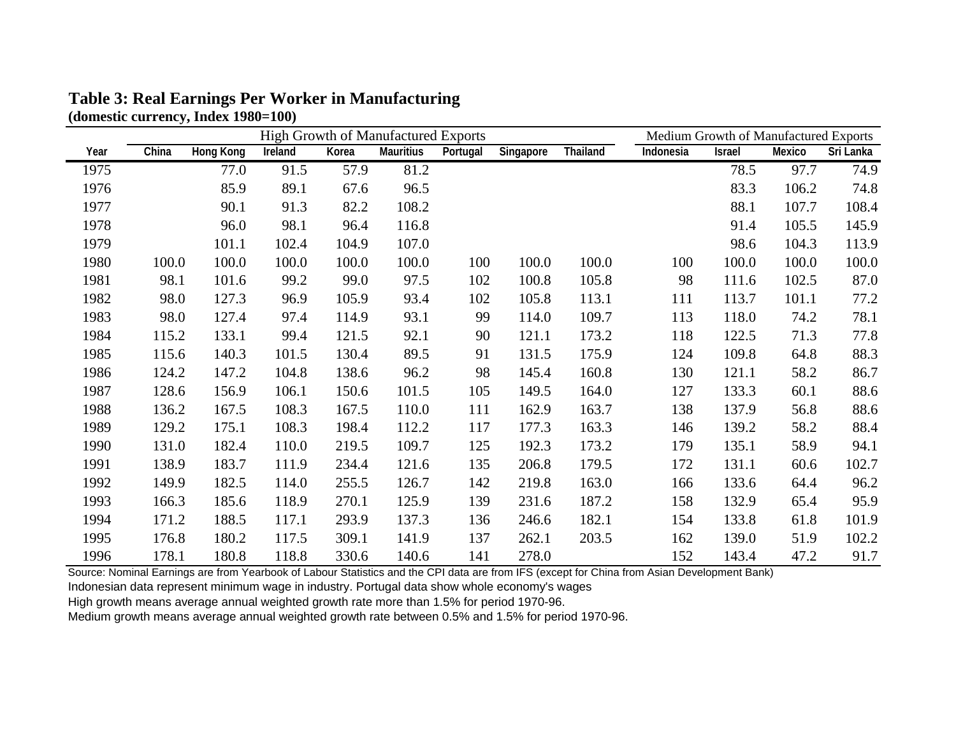|      |       | <b>High Growth of Manufactured Exports</b> |         |       |                  |          |           |                 |           | Medium Growth of Manufactured Exports |        |           |  |
|------|-------|--------------------------------------------|---------|-------|------------------|----------|-----------|-----------------|-----------|---------------------------------------|--------|-----------|--|
| Year | China | <b>Hong Kong</b>                           | Ireland | Korea | <b>Mauritius</b> | Portugal | Singapore | <b>Thailand</b> | Indonesia | <b>Israel</b>                         | Mexico | Sri Lanka |  |
| 1975 |       | 77.0                                       | 91.5    | 57.9  | 81.2             |          |           |                 |           | 78.5                                  | 97.7   | 74.9      |  |
| 1976 |       | 85.9                                       | 89.1    | 67.6  | 96.5             |          |           |                 |           | 83.3                                  | 106.2  | 74.8      |  |
| 1977 |       | 90.1                                       | 91.3    | 82.2  | 108.2            |          |           |                 |           | 88.1                                  | 107.7  | 108.4     |  |
| 1978 |       | 96.0                                       | 98.1    | 96.4  | 116.8            |          |           |                 |           | 91.4                                  | 105.5  | 145.9     |  |
| 1979 |       | 101.1                                      | 102.4   | 104.9 | 107.0            |          |           |                 |           | 98.6                                  | 104.3  | 113.9     |  |
| 1980 | 100.0 | 100.0                                      | 100.0   | 100.0 | 100.0            | 100      | 100.0     | 100.0           | 100       | 100.0                                 | 100.0  | 100.0     |  |
| 1981 | 98.1  | 101.6                                      | 99.2    | 99.0  | 97.5             | 102      | 100.8     | 105.8           | 98        | 111.6                                 | 102.5  | 87.0      |  |
| 1982 | 98.0  | 127.3                                      | 96.9    | 105.9 | 93.4             | 102      | 105.8     | 113.1           | 111       | 113.7                                 | 101.1  | 77.2      |  |
| 1983 | 98.0  | 127.4                                      | 97.4    | 114.9 | 93.1             | 99       | 114.0     | 109.7           | 113       | 118.0                                 | 74.2   | 78.1      |  |
| 1984 | 115.2 | 133.1                                      | 99.4    | 121.5 | 92.1             | 90       | 121.1     | 173.2           | 118       | 122.5                                 | 71.3   | 77.8      |  |
| 1985 | 115.6 | 140.3                                      | 101.5   | 130.4 | 89.5             | 91       | 131.5     | 175.9           | 124       | 109.8                                 | 64.8   | 88.3      |  |
| 1986 | 124.2 | 147.2                                      | 104.8   | 138.6 | 96.2             | 98       | 145.4     | 160.8           | 130       | 121.1                                 | 58.2   | 86.7      |  |
| 1987 | 128.6 | 156.9                                      | 106.1   | 150.6 | 101.5            | 105      | 149.5     | 164.0           | 127       | 133.3                                 | 60.1   | 88.6      |  |
| 1988 | 136.2 | 167.5                                      | 108.3   | 167.5 | 110.0            | 111      | 162.9     | 163.7           | 138       | 137.9                                 | 56.8   | 88.6      |  |
| 1989 | 129.2 | 175.1                                      | 108.3   | 198.4 | 112.2            | 117      | 177.3     | 163.3           | 146       | 139.2                                 | 58.2   | 88.4      |  |
| 1990 | 131.0 | 182.4                                      | 110.0   | 219.5 | 109.7            | 125      | 192.3     | 173.2           | 179       | 135.1                                 | 58.9   | 94.1      |  |
| 1991 | 138.9 | 183.7                                      | 111.9   | 234.4 | 121.6            | 135      | 206.8     | 179.5           | 172       | 131.1                                 | 60.6   | 102.7     |  |
| 1992 | 149.9 | 182.5                                      | 114.0   | 255.5 | 126.7            | 142      | 219.8     | 163.0           | 166       | 133.6                                 | 64.4   | 96.2      |  |
| 1993 | 166.3 | 185.6                                      | 118.9   | 270.1 | 125.9            | 139      | 231.6     | 187.2           | 158       | 132.9                                 | 65.4   | 95.9      |  |
| 1994 | 171.2 | 188.5                                      | 117.1   | 293.9 | 137.3            | 136      | 246.6     | 182.1           | 154       | 133.8                                 | 61.8   | 101.9     |  |
| 1995 | 176.8 | 180.2                                      | 117.5   | 309.1 | 141.9            | 137      | 262.1     | 203.5           | 162       | 139.0                                 | 51.9   | 102.2     |  |
| 1996 | 178.1 | 180.8                                      | 118.8   | 330.6 | 140.6            | 141      | 278.0     |                 | 152       | 143.4                                 | 47.2   | 91.7      |  |

# **Table 3: Real Earnings Per Worker in Manufacturing (domestic currency, Index 1980=100)**

Source: Nominal Earnings are from Yearbook of Labour Statistics and the CPI data are from IFS (except for China from Asian Development Bank)

Indonesian data represent minimum wage in industry. Portugal data show whole economy's wages

High growth means average annual weighted growth rate more than 1.5% for period 1970-96.

Medium growth means average annual weighted growth rate between 0.5% and 1.5% for period 1970-96.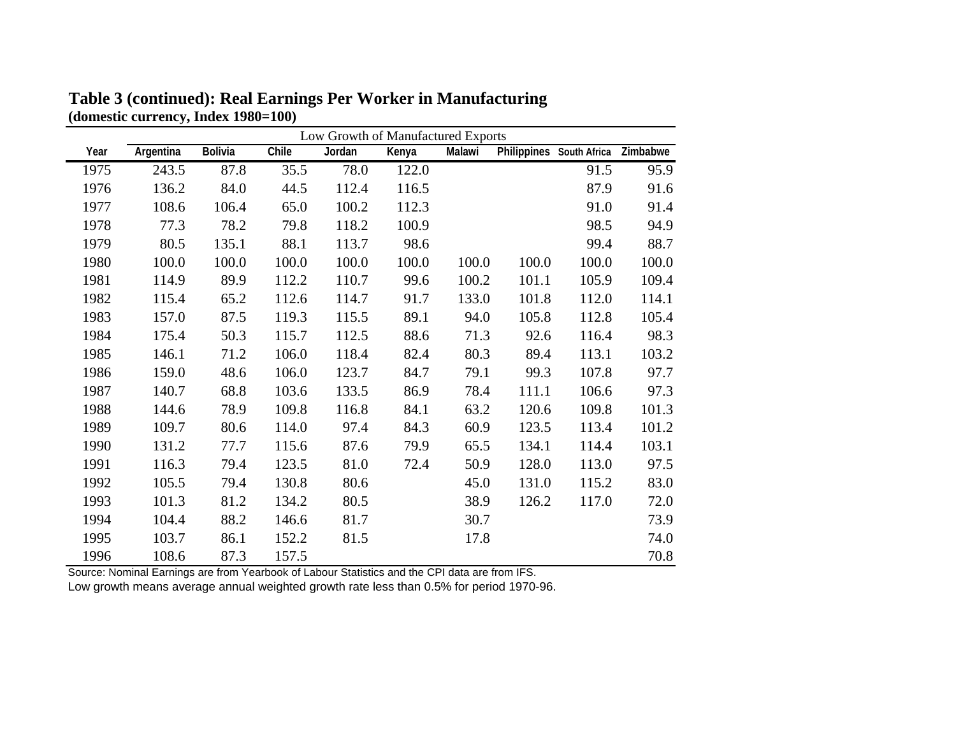|      |           | Low Growth of Manufactured Exports |       |        |       |        |       |                          |          |  |
|------|-----------|------------------------------------|-------|--------|-------|--------|-------|--------------------------|----------|--|
| Year | Argentina | <b>Bolivia</b>                     | Chile | Jordan | Kenya | Malawi |       | Philippines South Africa | Zimbabwe |  |
| 1975 | 243.5     | 87.8                               | 35.5  | 78.0   | 122.0 |        |       | 91.5                     | 95.9     |  |
| 1976 | 136.2     | 84.0                               | 44.5  | 112.4  | 116.5 |        |       | 87.9                     | 91.6     |  |
| 1977 | 108.6     | 106.4                              | 65.0  | 100.2  | 112.3 |        |       | 91.0                     | 91.4     |  |
| 1978 | 77.3      | 78.2                               | 79.8  | 118.2  | 100.9 |        |       | 98.5                     | 94.9     |  |
| 1979 | 80.5      | 135.1                              | 88.1  | 113.7  | 98.6  |        |       | 99.4                     | 88.7     |  |
| 1980 | 100.0     | 100.0                              | 100.0 | 100.0  | 100.0 | 100.0  | 100.0 | 100.0                    | 100.0    |  |
| 1981 | 114.9     | 89.9                               | 112.2 | 110.7  | 99.6  | 100.2  | 101.1 | 105.9                    | 109.4    |  |
| 1982 | 115.4     | 65.2                               | 112.6 | 114.7  | 91.7  | 133.0  | 101.8 | 112.0                    | 114.1    |  |
| 1983 | 157.0     | 87.5                               | 119.3 | 115.5  | 89.1  | 94.0   | 105.8 | 112.8                    | 105.4    |  |
| 1984 | 175.4     | 50.3                               | 115.7 | 112.5  | 88.6  | 71.3   | 92.6  | 116.4                    | 98.3     |  |
| 1985 | 146.1     | 71.2                               | 106.0 | 118.4  | 82.4  | 80.3   | 89.4  | 113.1                    | 103.2    |  |
| 1986 | 159.0     | 48.6                               | 106.0 | 123.7  | 84.7  | 79.1   | 99.3  | 107.8                    | 97.7     |  |
| 1987 | 140.7     | 68.8                               | 103.6 | 133.5  | 86.9  | 78.4   | 111.1 | 106.6                    | 97.3     |  |
| 1988 | 144.6     | 78.9                               | 109.8 | 116.8  | 84.1  | 63.2   | 120.6 | 109.8                    | 101.3    |  |
| 1989 | 109.7     | 80.6                               | 114.0 | 97.4   | 84.3  | 60.9   | 123.5 | 113.4                    | 101.2    |  |
| 1990 | 131.2     | 77.7                               | 115.6 | 87.6   | 79.9  | 65.5   | 134.1 | 114.4                    | 103.1    |  |
| 1991 | 116.3     | 79.4                               | 123.5 | 81.0   | 72.4  | 50.9   | 128.0 | 113.0                    | 97.5     |  |
| 1992 | 105.5     | 79.4                               | 130.8 | 80.6   |       | 45.0   | 131.0 | 115.2                    | 83.0     |  |
| 1993 | 101.3     | 81.2                               | 134.2 | 80.5   |       | 38.9   | 126.2 | 117.0                    | 72.0     |  |
| 1994 | 104.4     | 88.2                               | 146.6 | 81.7   |       | 30.7   |       |                          | 73.9     |  |
| 1995 | 103.7     | 86.1                               | 152.2 | 81.5   |       | 17.8   |       |                          | 74.0     |  |
| 1996 | 108.6     | 87.3                               | 157.5 |        |       |        |       |                          | 70.8     |  |

**Table 3 (continued): Real Earnings Per Worker in Manufacturing (domestic currency, Index 1980=100)** 

Source: Nominal Earnings are from Yearbook of Labour Statistics and the CPI data are from IFS.

Low growth means average annual weighted growth rate less than 0.5% for period 1970-96.